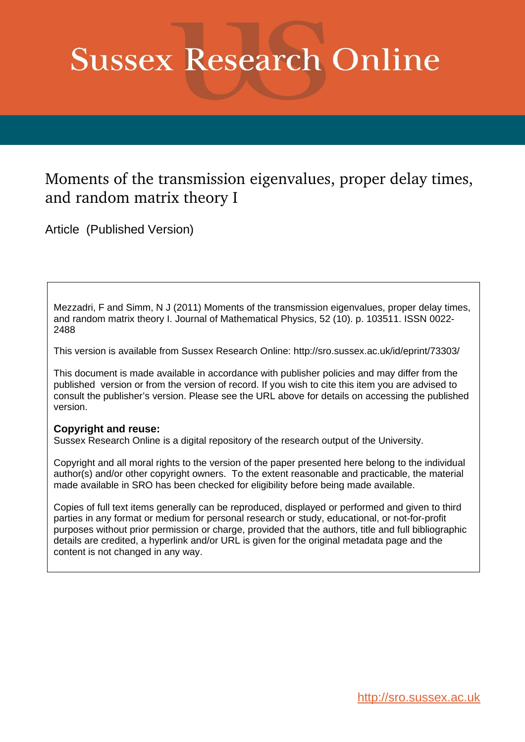# **Sussex Research Online**

# Moments of the transmission eigenvalues, proper delay times, and random matrix theory I

Article (Published Version)

Mezzadri, F and Simm, N J (2011) Moments of the transmission eigenvalues, proper delay times, and random matrix theory I. Journal of Mathematical Physics, 52 (10). p. 103511. ISSN 0022- 2488

This version is available from Sussex Research Online: http://sro.sussex.ac.uk/id/eprint/73303/

This document is made available in accordance with publisher policies and may differ from the published version or from the version of record. If you wish to cite this item you are advised to consult the publisher's version. Please see the URL above for details on accessing the published version.

## **Copyright and reuse:**

Sussex Research Online is a digital repository of the research output of the University.

Copyright and all moral rights to the version of the paper presented here belong to the individual author(s) and/or other copyright owners. To the extent reasonable and practicable, the material made available in SRO has been checked for eligibility before being made available.

Copies of full text items generally can be reproduced, displayed or performed and given to third parties in any format or medium for personal research or study, educational, or not-for-profit purposes without prior permission or charge, provided that the authors, title and full bibliographic details are credited, a hyperlink and/or URL is given for the original metadata page and the content is not changed in any way.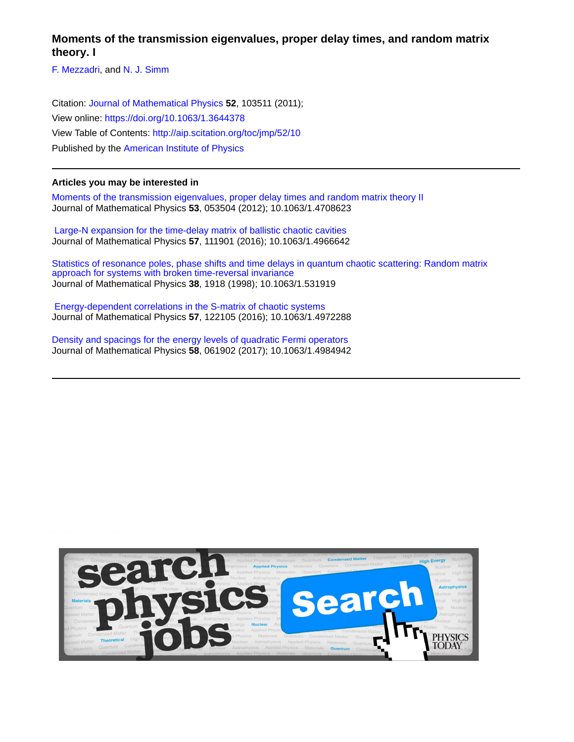**Moments of the transmission eigenvalues, proper delay times, and random matrix theory. I**

[F. Mezzadri,](http://aip.scitation.org/author/Mezzadri%2C+F) and [N. J. Simm](http://aip.scitation.org/author/Simm%2C+N+J)

Citation: [Journal of Mathematical Physics](/loi/jmp) **52**, 103511 (2011); View online: <https://doi.org/10.1063/1.3644378> View Table of Contents: <http://aip.scitation.org/toc/jmp/52/10> Published by the [American Institute of Physics](http://aip.scitation.org/publisher/)

#### **Articles you may be interested in**

[Moments of the transmission eigenvalues, proper delay times and random matrix theory II](http://aip.scitation.org/doi/abs/10.1063/1.4708623) Journal of Mathematical Physics **53**, 053504 (2012); 10.1063/1.4708623

 [Large-N expansion for the time-delay matrix of ballistic chaotic cavities](http://aip.scitation.org/doi/abs/10.1063/1.4966642) Journal of Mathematical Physics **57**, 111901 (2016); 10.1063/1.4966642

[Statistics of resonance poles, phase shifts and time delays in quantum chaotic scattering: Random matrix](http://aip.scitation.org/doi/abs/10.1063/1.531919) [approach for systems with broken time-reversal invariance](http://aip.scitation.org/doi/abs/10.1063/1.531919) Journal of Mathematical Physics **38**, 1918 (1998); 10.1063/1.531919

 [Energy-dependent correlations in the S-matrix of chaotic systems](http://aip.scitation.org/doi/abs/10.1063/1.4972288) Journal of Mathematical Physics **57**, 122105 (2016); 10.1063/1.4972288

[Density and spacings for the energy levels of quadratic Fermi operators](http://aip.scitation.org/doi/abs/10.1063/1.4984942) Journal of Mathematical Physics **58**, 061902 (2017); 10.1063/1.4984942

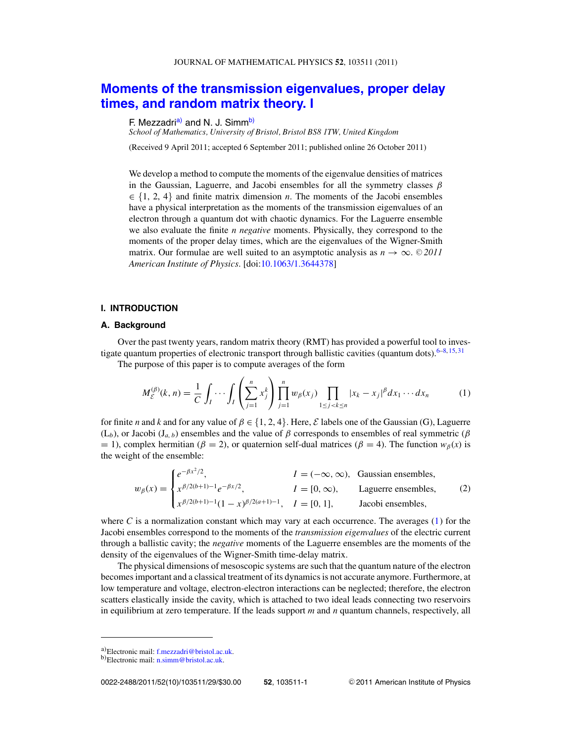## <span id="page-2-0"></span>**[Moments of the transmission eigenvalues, proper delay](http://dx.doi.org/10.1063/1.3644378) [times, and random matrix theory. I](http://dx.doi.org/10.1063/1.3644378)**

#### F. Mezzadri<sup>a)</sup> and N. J. Simm<sup>b)</sup>

*School of Mathematics, University of Bristol, Bristol BS8 1TW, United Kingdom*

(Received 9 April 2011; accepted 6 September 2011; published online 26 October 2011)

We develop a method to compute the moments of the eigenvalue densities of matrices in the Gaussian, Laguerre, and Jacobi ensembles for all the symmetry classes  $\beta$ ∈ {1, 2, 4} and finite matrix dimension *n*. The moments of the Jacobi ensembles have a physical interpretation as the moments of the transmission eigenvalues of an electron through a quantum dot with chaotic dynamics. For the Laguerre ensemble we also evaluate the finite *n negative* moments. Physically, they correspond to the moments of the proper delay times, which are the eigenvalues of the Wigner-Smith matrix. Our formulae are well suited to an asymptotic analysis as  $n \to \infty$ . © 2011 *American Institute of Physics*. [doi[:10.1063/1.3644378\]](http://dx.doi.org/10.1063/1.3644378)

#### **I. INTRODUCTION**

#### **A. Background**

Over the past twenty years, random matrix theory (RMT) has provided a powerful tool to inves-tigate quantum properties of electronic transport through ballistic cavities (quantum dots).<sup>6–8, [15,](#page-29-0) [31](#page-30-0)</sup>

The purpose of this paper is to compute averages of the form

$$
M_{\mathcal{E}}^{(\beta)}(k,n) = \frac{1}{C} \int_{I} \cdots \int_{I} \left( \sum_{j=1}^{n} x_{j}^{k} \right) \prod_{j=1}^{n} w_{\beta}(x_{j}) \prod_{1 \leq j < k \leq n} |x_{k} - x_{j}|^{\beta} dx_{1} \cdots dx_{n} \tag{1}
$$

for finite *n* and *k* and for any value of  $\beta \in \{1, 2, 4\}$ . Here, *E* labels one of the Gaussian (G), Laguerre  $(L_b)$ , or Jacobi (J<sub>a, b</sub>) ensembles and the value of  $\beta$  corresponds to ensembles of real symmetric ( $\beta$  $= 1$ ), complex hermitian ( $\beta = 2$ ), or quaternion self-dual matrices ( $\beta = 4$ ). The function  $w_{\beta}(x)$  is the weight of the ensemble:

$$
w_{\beta}(x) = \begin{cases} e^{-\beta x^2/2}, & I = (-\infty, \infty), \text{ Gaussian ensembles,} \\ x^{\beta/2(b+1)-1} e^{-\beta x/2}, & I = [0, \infty), \text{ Laguerre ensembles,} \\ x^{\beta/2(b+1)-1}(1-x)^{\beta/2(a+1)-1}, & I = [0, 1], \text{ Jacobi ensembles,} \end{cases}
$$
(2)

where  $C$  is a normalization constant which may vary at each occurrence. The averages  $(1)$  for the Jacobi ensembles correspond to the moments of the *transmission eigenvalues* of the electric current through a ballistic cavity; the *negative* moments of the Laguerre ensembles are the moments of the density of the eigenvalues of the Wigner-Smith time-delay matrix.

The physical dimensions of mesoscopic systems are such that the quantum nature of the electron becomes important and a classical treatment of its dynamics is not accurate anymore. Furthermore, at low temperature and voltage, electron-electron interactions can be neglected; therefore, the electron scatters elastically inside the cavity, which is attached to two ideal leads connecting two reservoirs in equilibrium at zero temperature. If the leads support *m* and *n* quantum channels, respectively, all

a)Electronic mail: [f.mezzadri@bristol.ac.uk.](mailto: f.mezzadri@bristol.ac.uk)<br>b)Electronic mail: [n.simm@bristol.ac.uk.](mailto: n.simm@bristol.ac.uk)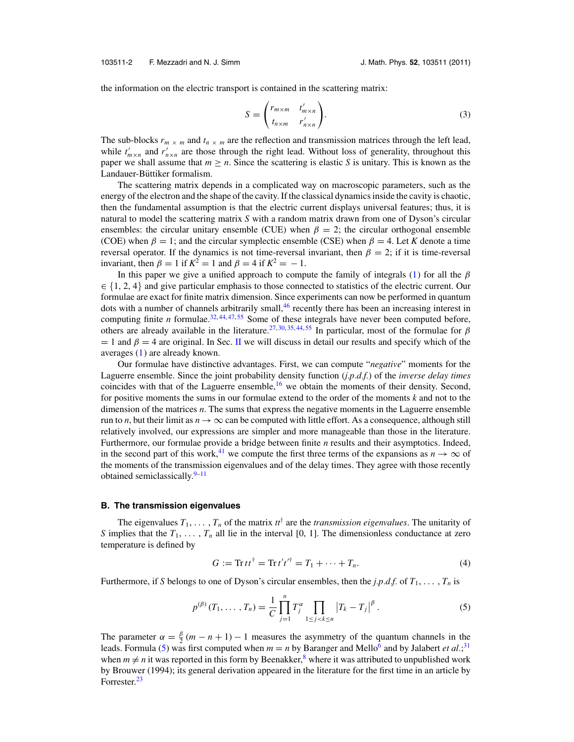<span id="page-3-0"></span>the information on the electric transport is contained in the scattering matrix:

$$
S = \begin{pmatrix} r_{m \times m} & t'_{m \times n} \\ t_{n \times m} & r'_{n \times n} \end{pmatrix}.
$$
 (3)

The sub-blocks  $r_m \times m$  and  $t_n \times m$  are the reflection and transmission matrices through the left lead, while  $t'_{m \times n}$  and  $r'_{n \times n}$  are those through the right lead. Without loss of generality, throughout this paper we shall assume that  $m \ge n$ . Since the scattering is elastic *S* is unitary. This is known as the Landauer-Büttiker formalism.

The scattering matrix depends in a complicated way on macroscopic parameters, such as the energy of the electron and the shape of the cavity. If the classical dynamics inside the cavity is chaotic, then the fundamental assumption is that the electric current displays universal features; thus, it is natural to model the scattering matrix *S* with a random matrix drawn from one of Dyson's circular ensembles: the circular unitary ensemble (CUE) when  $\beta = 2$ ; the circular orthogonal ensemble (COE) when  $\beta = 1$ ; and the circular symplectic ensemble (CSE) when  $\beta = 4$ . Let *K* denote a time reversal operator. If the dynamics is not time-reversal invariant, then  $\beta = 2$ ; if it is time-reversal invariant, then  $\beta = 1$  if  $K^2 = 1$  and  $\beta = 4$  if  $K^2 = -1$ .

In this paper we give a unified approach to compute the family of integrals [\(1\)](#page-2-0) for all the  $\beta$  $\in \{1, 2, 4\}$  and give particular emphasis to those connected to statistics of the electric current. Our formulae are exact for finite matrix dimension. Since experiments can now be performed in quantum dots with a number of channels arbitrarily small,<sup>46</sup> recently there has been an increasing interest in computing finite *n* formulae.<sup>[32,](#page-30-0) [44,](#page-30-0) [47,](#page-30-0) [55](#page-30-0)</sup> Some of these integrals have never been computed before, others are already available in the literature.<sup>[27,](#page-29-0) [30,](#page-30-0) [35,](#page-30-0) [44,](#page-30-0) [55](#page-30-0)</sup> In particular, most of the formulae for  $\beta$  $= 1$  and  $\beta = 4$  are original. In Sec. [II](#page-5-0) we will discuss in detail our results and specify which of the averages [\(1\)](#page-2-0) are already known.

Our formulae have distinctive advantages. First, we can compute "*negative*" moments for the Laguerre ensemble. Since the joint probability density function (*j.p.d.f.*) of the *inverse delay times* coincides with that of the Laguerre ensemble, $16$  we obtain the moments of their density. Second, for positive moments the sums in our formulae extend to the order of the moments *k* and not to the dimension of the matrices *n*. The sums that express the negative moments in the Laguerre ensemble run to *n*, but their limit as  $n \to \infty$  can be computed with little effort. As a consequence, although still relatively involved, our expressions are simpler and more manageable than those in the literature. Furthermore, our formulae provide a bridge between finite *n* results and their asymptotics. Indeed, in the second part of this work,<sup>[41](#page-30-0)</sup> we compute the first three terms of the expansions as  $n \to \infty$  of the moments of the transmission eigenvalues and of the delay times. They agree with those recently obtained semiclassically. $9-11$ 

#### **B. The transmission eigenvalues**

The eigenvalues  $T_1, \ldots, T_n$  of the matrix  $tt^{\dagger}$  are the *transmission eigenvalues*. The unitarity of *S* implies that the  $T_1, \ldots, T_n$  all lie in the interval [0, 1]. The dimensionless conductance at zero temperature is defined by

$$
G := \text{Tr} \, t t^{\dagger} = \text{Tr} \, t' t'^{\dagger} = T_1 + \dots + T_n. \tag{4}
$$

Furthermore, if *S* belongs to one of Dyson's circular ensembles, then the *j.p.d.f.* of  $T_1, \ldots, T_n$  is

$$
p^{(\beta)}(T_1, \ldots, T_n) = \frac{1}{C} \prod_{j=1}^n T_j^{\alpha} \prod_{1 \le j < k \le n} \left| T_k - T_j \right|^\beta. \tag{5}
$$

The parameter  $\alpha = \frac{\beta}{2}(m - n + 1) - 1$  measures the asymmetry of the quantum channels in the leads. Formula (5) was first computed when  $m = n$  by Baranger and Mello<sup>6</sup> and by Jalabert *et al*.;<sup>[31](#page-30-0)</sup> when  $m \neq n$  it was reported in this form by Beenakker,<sup>8</sup> where it was attributed to unpublished work by Brouwer (1994); its general derivation appeared in the literature for the first time in an article by Forrester.<sup>[23](#page-29-0)</sup>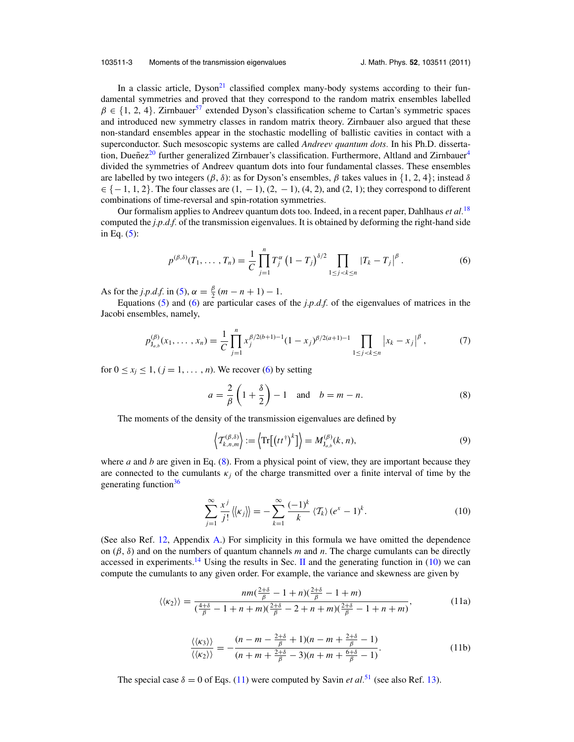#### <span id="page-4-0"></span>103511-3 Moments of the transmission eigenvalues J. Math. Phys. **52**, 103511 (2011)

In a classic article,  $Dyson<sup>21</sup>$  $Dyson<sup>21</sup>$  $Dyson<sup>21</sup>$  classified complex many-body systems according to their fundamental symmetries and proved that they correspond to the random matrix ensembles labelled  $\beta \in \{1, 2, 4\}$ . Zirnbauer<sup>[57](#page-30-0)</sup> extended Dyson's classification scheme to Cartan's symmetric spaces and introduced new symmetry classes in random matrix theory. Zirnbauer also argued that these non-standard ensembles appear in the stochastic modelling of ballistic cavities in contact with a superconductor. Such mesoscopic systems are called *Andreev quantum dots.* In his Ph.D. disserta-tion, Dueñez<sup>[20](#page-29-0)</sup> further generalized Zirnbauer's classification. Furthermore, Altland and Zirnbauer<sup>[4](#page-29-0)</sup> divided the symmetries of Andreev quantum dots into four fundamental classes. These ensembles are labelled by two integers ( $\beta$ ,  $\delta$ ): as for Dyson's ensembles,  $\beta$  takes values in {1, 2, 4}; instead  $\delta$  $\in \{-1, 1, 2\}$ . The four classes are  $(1, -1)$ ,  $(2, -1)$ ,  $(4, 2)$ , and  $(2, 1)$ ; they correspond to different combinations of time-reversal and spin-rotation symmetries.

Our formalism applies to Andreev quantum dots too. Indeed, in a recent paper, Dahlhaus *et al.*[18](#page-29-0) computed the *j.p.d.f.* of the transmission eigenvalues. It is obtained by deforming the right-hand side in Eq.  $(5)$ :

$$
p^{(\beta,\delta)}(T_1,\ldots,T_n) = \frac{1}{C} \prod_{j=1}^n T_j^{\alpha} \left(1 - T_j\right)^{\delta/2} \prod_{1 \le j < k \le n} \left|T_k - T_j\right|^{\beta}.
$$
 (6)

As for the *j.p.d.f.* in [\(5\)](#page-3-0),  $\alpha = \frac{\beta}{2} (m - n + 1) - 1$ .

Equations [\(5\)](#page-3-0) and (6) are particular cases of the  $j.p.d.f.$  of the eigenvalues of matrices in the Jacobi ensembles, namely,

$$
p_{\mathbf{J}_{a,b}}^{(\beta)}(x_1,\ldots,x_n) = \frac{1}{C} \prod_{j=1}^n x_j^{\beta/2(b+1)-1} (1-x_j)^{\beta/2(a+1)-1} \prod_{1 \le j < k \le n} \left| x_k - x_j \right|^\beta, \tag{7}
$$

for  $0 \le x_i \le 1$ ,  $(j = 1, \ldots, n)$ . We recover (6) by setting

$$
a = \frac{2}{\beta} \left( 1 + \frac{\delta}{2} \right) - 1 \quad \text{and} \quad b = m - n. \tag{8}
$$

The moments of the density of the transmission eigenvalues are defined by

$$
\left\langle T_{k,n,m}^{(\beta,\delta)}\right\rangle := \left\langle \operatorname{Tr}\left[\left(t^{+}\right)^{k}\right]\right\rangle = M_{J_{a,b}}^{(\beta)}(k,n),\tag{9}
$$

where *a* and *b* are given in Eq.  $(8)$ . From a physical point of view, they are important because they are connected to the cumulants  $\kappa_j$  of the charge transmitted over a finite interval of time by the generating function<sup>36</sup>

$$
\sum_{j=1}^{\infty} \frac{x^j}{j!} \left\langle \left| \left\langle \kappa_j \right| \right\rangle \right\rangle = -\sum_{k=1}^{\infty} \frac{(-1)^k}{k} \left\langle \mathcal{T}_k \right\rangle (e^x - 1)^k. \tag{10}
$$

(See also Ref. [12,](#page-29-0) Appendix [A.](#page-27-0)) For simplicity in this formula we have omitted the dependence on  $(\beta, \delta)$  and on the numbers of quantum channels *m* and *n*. The charge cumulants can be directly accessed in experiments.<sup>14</sup> Using the results in Sec. [II](#page-5-0) and the generating function in (10) we can compute the cumulants to any given order. For example, the variance and skewness are given by

$$
\langle \langle \kappa_2 \rangle \rangle = \frac{nm(\frac{2+\delta}{\beta} - 1 + n)(\frac{2+\delta}{\beta} - 1 + m)}{(\frac{4+\delta}{\beta} - 1 + n + m)(\frac{2+\delta}{\beta} - 2 + n + m)(\frac{2+\delta}{\beta} - 1 + n + m)},
$$
(11a)

$$
\frac{\langle\langle\kappa_3\rangle\rangle}{\langle\langle\kappa_2\rangle\rangle} = -\frac{(n-m-\frac{2+\delta}{\beta}+1)(n-m+\frac{2+\delta}{\beta}-1)}{(n+m+\frac{2+\delta}{\beta}-3)(n+m+\frac{6+\delta}{\beta}-1)}.
$$
\n(11b)

The special case  $\delta = 0$  of Eqs. (11) were computed by Savin *et al.*<sup>[51](#page-30-0)</sup> (see also Ref. [13\)](#page-29-0).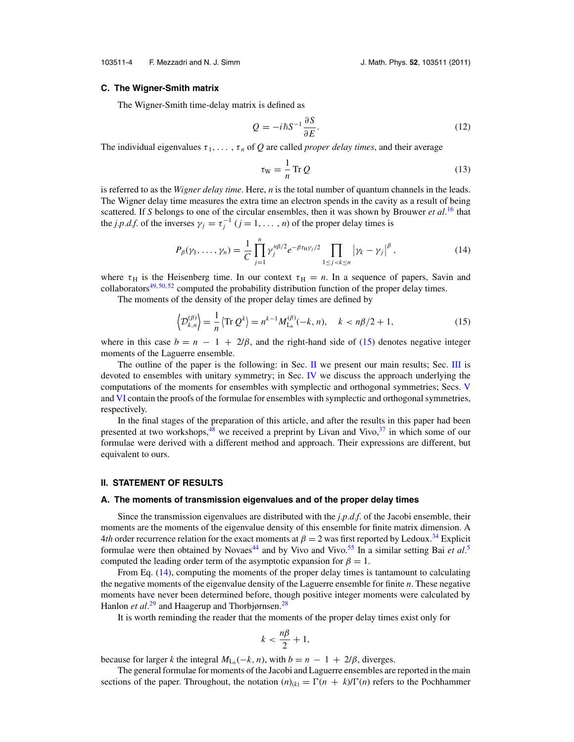<span id="page-5-0"></span>103511-4 F. Mezzadri and N. J. Simm J. Math. Phys. **52**, 103511 (2011)

#### **C. The Wigner-Smith matrix**

The Wigner-Smith time-delay matrix is defined as

$$
Q = -i\hbar S^{-1} \frac{\partial S}{\partial E}.
$$
\n(12)

The individual eigenvalues  $\tau_1, \ldots, \tau_n$  of Q are called *proper delay times*, and their average

$$
\tau_{\rm W} = \frac{1}{n} \operatorname{Tr} Q \tag{13}
$$

is referred to as the *Wigner delay time.* Here, *n* is the total number of quantum channels in the leads. The Wigner delay time measures the extra time an electron spends in the cavity as a result of being scattered. If *S* belongs to one of the circular ensembles, then it was shown by Brouwer *et al.*[16](#page-29-0) that the *j.p.d.f.* of the inverses  $\gamma_j = \tau_j^{-1}$  ( $j = 1, ..., n$ ) of the proper delay times is

$$
P_{\beta}(\gamma_1, ..., \gamma_n) = \frac{1}{C} \prod_{j=1}^n \gamma_j^{n\beta/2} e^{-\beta \tau_H \gamma_j/2} \prod_{1 \le j < k \le n} |\gamma_k - \gamma_j|^{\beta}, \tag{14}
$$

where  $\tau_H$  is the Heisenberg time. In our context  $\tau_H = n$ . In a sequence of papers, Savin and collaborators $49,50,52$  $49,50,52$  $49,50,52$  computed the probability distribution function of the proper delay times.

The moments of the density of the proper delay times are defined by

$$
\left\langle \mathcal{D}_{k,n}^{(\beta)} \right\rangle = \frac{1}{n} \left\langle \text{Tr} \, \mathcal{Q}^k \right\rangle = n^{k-1} M_{L_b}^{(\beta)}(-k, n), \quad k < n\beta/2 + 1,\tag{15}
$$

where in this case  $b = n - 1 + 2/\beta$ , and the right-hand side of (15) denotes negative integer moments of the Laguerre ensemble.

The outline of the paper is the following: in Sec.  $\Pi$  we present our main results; Sec.  $\Pi$  is devoted to ensembles with unitary symmetry; in Sec. [IV](#page-14-0) we discuss the approach underlying the computations of the moments for ensembles with symplectic and orthogonal symmetries; Secs. [V](#page-17-0) and [VI](#page-20-0) contain the proofs of the formulae for ensembles with symplectic and orthogonal symmetries, respectively.

In the final stages of the preparation of this article, and after the results in this paper had been presented at two workshops,<sup>48</sup> we received a preprint by Livan and Vivo, $37$  in which some of our formulae were derived with a different method and approach. Their expressions are different, but equivalent to ours.

#### **II. STATEMENT OF RESULTS**

#### **A. The moments of transmission eigenvalues and of the proper delay times**

Since the transmission eigenvalues are distributed with the *j.p.d.f.* of the Jacobi ensemble, their moments are the moments of the eigenvalue density of this ensemble for finite matrix dimension. A 4*th* order recurrence relation for the exact moments at  $\beta = 2$  was first reported by Ledoux.<sup>[34](#page-30-0)</sup> Explicit formulae were then obtained by Novaes<sup>[44](#page-30-0)</sup> and by Vivo and Vivo.<sup>[55](#page-30-0)</sup> In a similar setting Bai *et al.*<sup>[5](#page-29-0)</sup> computed the leading order term of the asymptotic expansion for  $\beta = 1$ .

From Eq. (14), computing the moments of the proper delay times is tantamount to calculating the negative moments of the eigenvalue density of the Laguerre ensemble for finite *n*. These negative moments have never been determined before, though positive integer moments were calculated by Hanlon *et al.*<sup>[29](#page-30-0)</sup> and Haagerup and Thorbjørnsen.<sup>[28](#page-29-0)</sup>

It is worth reminding the reader that the moments of the proper delay times exist only for

$$
k < \frac{n\beta}{2} + 1,
$$

because for larger *k* the integral  $M_{L_b}(-k, n)$ , with  $b = n - 1 + 2/\beta$ , diverges.

The general formulae for moments of the Jacobi and Laguerre ensembles are reported in the main sections of the paper. Throughout, the notation  $(n)_{(k)} = \Gamma(n + k)/\Gamma(n)$  refers to the Pochhammer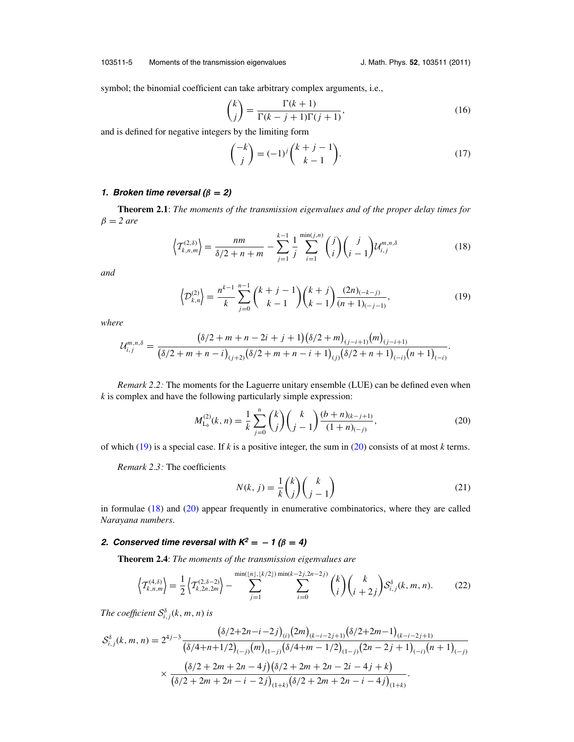#### <span id="page-6-0"></span>103511-5 Moments of the transmission eigenvalues J. Math. Phys. **52**, 103511 (2011)

symbol; the binomial coefficient can take arbitrary complex arguments, i.e.,

$$
\binom{k}{j} = \frac{\Gamma(k+1)}{\Gamma(k-j+1)\Gamma(j+1)},\tag{16}
$$

and is defined for negative integers by the limiting form

$$
\binom{-k}{j} = (-1)^j \binom{k+j-1}{k-1}.
$$
\n(17)

#### **1. Broken time reversal**  $(\beta = 2)$

**Theorem 2.1**: *The moments of the transmission eigenvalues and of the proper delay times for*  $\beta = 2$  *are* 

$$
\left\langle T_{k,n,m}^{(2,\delta)}\right\rangle = \frac{nm}{\delta/2 + n + m} - \sum_{j=1}^{k-1} \frac{1}{j} \sum_{i=1}^{\min(j,n)} \binom{j}{i} \binom{j}{i-1} \mathcal{U}_{i,j}^{m,n,\delta} \tag{18}
$$

*and*

$$
\left\langle \mathcal{D}_{k,n}^{(2)} \right\rangle = \frac{n^{k-1}}{k} \sum_{j=0}^{n-1} {k+j-1 \choose k-1} {k+j \choose k-1} \frac{(2n)_{(-k-j)}}{(n+1)_{(-j-1)}},\tag{19}
$$

*where*

$$
\mathcal{U}_{i,j}^{m,n,\delta} = \frac{(\delta/2+m+n-2i+j+1)(\delta/2+m)_{(j-i+1)}(m)_{(j-i+1)}}{(\delta/2+m+n-i)_{(j+2)}(\delta/2+m+n-i+1)_{(j)}(\delta/2+n+1)_{(-i)}(n+1)_{(-i)}}.
$$

*Remark 2.2:* The moments for the Laguerre unitary ensemble (LUE) can be defined even when *k* is complex and have the following particularly simple expression:

$$
M_{\mathsf{L}_b}^{(2)}(k,n) = \frac{1}{k} \sum_{j=0}^n \binom{k}{j} \binom{k}{j-1} \frac{(b+n)_{(k-j+1)}}{(1+n)_{(-j)}},\tag{20}
$$

of which (19) is a special case. If *k* is a positive integer, the sum in (20) consists of at most *k* terms.

*Remark 2.3:* The coefficients

$$
N(k, j) = \frac{1}{k} \binom{k}{j} \binom{k}{j-1}
$$
\n(21)

in formulae (18) and (20) appear frequently in enumerative combinatorics, where they are called *Narayana numbers*.

#### **2.** *Conserved time reversal with* $K^2 = -1$  **(** $\beta = 4$ **)**

**Theorem 2.4**: *The moments of the transmission eigenvalues are*

$$
\left\langle T_{k,n,m}^{(4,\delta)} \right\rangle = \frac{1}{2} \left\langle T_{k,2n,2m}^{(2,\delta-2)} \right\rangle - \sum_{j=1}^{\min(\lfloor n \rfloor, \lfloor k/2 \rfloor) \min(k-2j,2n-2j)} \sum_{i=0}^{k} \binom{k}{i} \binom{k}{i+2j} S_{i,j}^{\delta}(k,m,n). \tag{22}
$$

The coefficient  $\mathcal{S}_{i,j}^{\delta}(k,m,n)$  is

$$
S_{i,j}^{\delta}(k, m, n) = 2^{4j-3} \frac{\left(\delta/2 + 2n - i - 2j\right)_{(i)} \left(2m\right)_{(k-i-2j+1)} \left(\delta/2 + 2m - 1\right)_{(k-i-2j+1)}}{\left(\delta/4 + n + 1/2\right)_{(-j)} \left(m\right)_{(1-j)} \left(\delta/4 + m - 1/2\right)_{(1-j)} \left(2n - 2j + 1\right)_{(-i)} \left(n + 1\right)_{(-j)}} \times \frac{\left(\delta/2 + 2m + 2n - 4j\right) \left(\delta/2 + 2m + 2n - 2i - 4j + k\right)}{\left(\delta/2 + 2m + 2n - i - 2j\right)_{(1+k)} \left(\delta/2 + 2m + 2n - i - 4j\right)_{(1+k)}}.
$$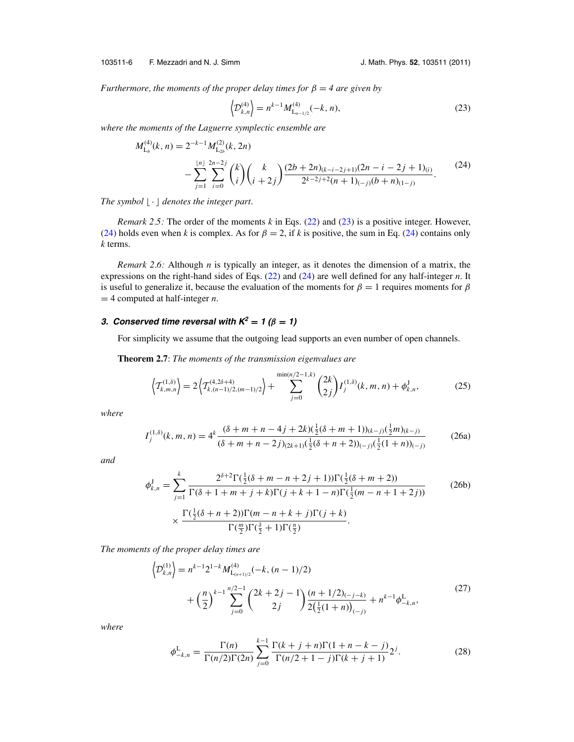<span id="page-7-0"></span>103511-6 F. Mezzadri and N. J. Simm J. Math. Phys. **52**, 103511 (2011)

*Furthermore, the moments of the proper delay times for*  $\beta = 4$  *are given by* 

$$
\left\langle \mathcal{D}_{k,n}^{(4)} \right\rangle = n^{k-1} M_{L_{n-1/2}}^{(4)}(-k, n), \tag{23}
$$

*where the moments of the Laguerre symplectic ensemble are*

$$
M_{\mathsf{L}_{b}}^{(4)}(k,n) = 2^{-k-1} M_{\mathsf{L}_{2b}}^{(2)}(k,2n)
$$
  
 
$$
- \sum_{j=1}^{\lfloor n \rfloor} \sum_{i=0}^{2n-2j} {k \choose i} {k \choose i+2j} \frac{(2b+2n)_{(k-i-2j+1)}(2n-i-2j+1)_{(i)}}{2^{k-2j+2}(n+1)_{(-j)}(b+n)_{(1-j)}}.
$$
 (24)

*The symbol*  $\lfloor \cdot \rfloor$  *denotes the integer part.* 

*Remark 2.5:* The order of the moments *k* in Eqs. [\(22\)](#page-6-0) and (23) is a positive integer. However, (24) holds even when *k* is complex. As for  $\beta = 2$ , if *k* is positive, the sum in Eq. (24) contains only *k* terms.

*Remark 2.6:* Although *n* is typically an integer, as it denotes the dimension of a matrix, the expressions on the right-hand sides of Eqs. [\(22\)](#page-6-0) and (24) are well defined for any half-integer *n*. It is useful to generalize it, because the evaluation of the moments for  $\beta = 1$  requires moments for  $\beta$ = 4 computed at half-integer *n*.

#### **3.** Conserved time reversal with  $K^2 = 1$  ( $\beta = 1$ )

For simplicity we assume that the outgoing lead supports an even number of open channels.

**Theorem 2.7**: *The moments of the transmission eigenvalues are*

$$
\left\langle T_{k,m,n}^{(1,\delta)} \right\rangle = 2 \left\langle T_{k,(n-1)/2,(m-1)/2}^{(4,2\delta+4)} \right\rangle + \sum_{j=0}^{\min(n/2-1,k)} {2k \choose 2j} I_j^{(1,\delta)}(k,m,n) + \phi_{k,n}^J,
$$
 (25)

*where*

$$
I_j^{(1,\delta)}(k,m,n) = 4^k \frac{(\delta + m + n - 4j + 2k)\left(\frac{1}{2}(\delta + m + 1)\right)_{(k-j)}\left(\frac{1}{2}m\right)_{(k-j)}}{(\delta + m + n - 2j)_{(2k+1)}\left(\frac{1}{2}(\delta + n + 2)\right)_{(-j)}\left(\frac{1}{2}(1+n)\right)_{(-j)}}\tag{26a}
$$

*and*

$$
\phi_{k,n}^J = \sum_{j=1}^k \frac{2^{\delta+2} \Gamma(\frac{1}{2}(\delta+m-n+2j+1)) \Gamma(\frac{1}{2}(\delta+m+2))}{\Gamma(\delta+1+m+j+k) \Gamma(j+k+1-n) \Gamma(\frac{1}{2}(m-n+1+2j))}
$$
(26b)  

$$
\times \frac{\Gamma(\frac{1}{2}(\delta+n+2)) \Gamma(m-n+k+j) \Gamma(j+k)}{\Gamma(\frac{m}{2}) \Gamma(\frac{\delta}{2}+1) \Gamma(\frac{n}{2})}.
$$

*The moments of the proper delay times are*

$$
\left\langle \mathcal{D}_{k,n}^{(1)} \right\rangle = n^{k-1} 2^{1-k} M_{L_{(n+1)/2}}^{(4)}(-k, (n-1)/2) \n+ \left( \frac{n}{2} \right)^{k-1} \sum_{j=0}^{n/2-1} {2k+2j-1 \choose 2j} \frac{(n+1/2)_{(-j-k)}}{2(\frac{1}{2}(1+n))_{(-j)}} + n^{k-1} \phi_{-k,n}^{\mathcal{L}},
$$
\n(27)

*where*

$$
\phi_{-k,n}^{\mathcal{L}} = \frac{\Gamma(n)}{\Gamma(n/2)\Gamma(2n)} \sum_{j=0}^{k-1} \frac{\Gamma(k+j+n)\Gamma(1+n-k-j)}{\Gamma(n/2+1-j)\Gamma(k+j+1)} 2^j.
$$
\n(28)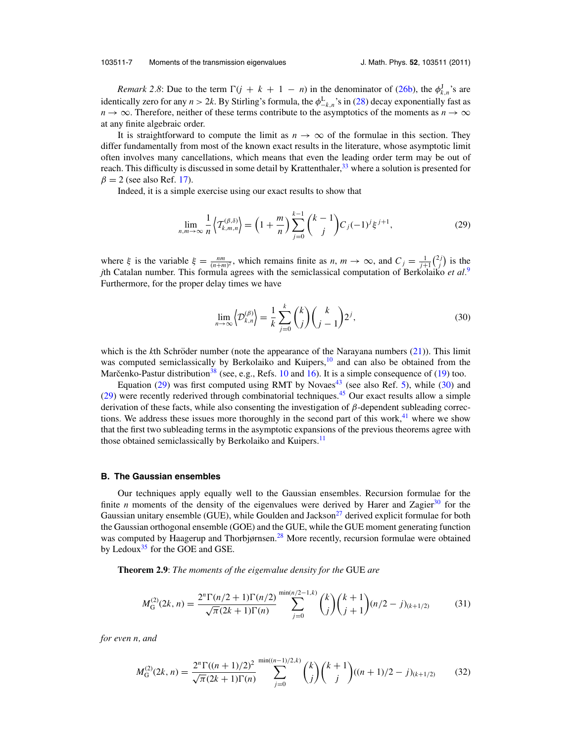#### <span id="page-8-0"></span>103511-7 Moments of the transmission eigenvalues J. Math. Phys. **52**, 103511 (2011)

*Remark 2.8*: Due to the term  $\Gamma(j + k + 1 - n)$  in the denominator of [\(26b\)](#page-7-0), the  $\phi_{k,n}^J$ 's are identically zero for any  $n > 2k$ . By Stirling's formula, the  $\phi_{-k,n}^L$ 's in [\(28\)](#page-7-0) decay exponentially fast as  $n \to \infty$ . Therefore, neither of these terms contribute to the asymptotics of the moments as  $n \to \infty$ at any finite algebraic order.

It is straightforward to compute the limit as  $n \to \infty$  of the formulae in this section. They differ fundamentally from most of the known exact results in the literature, whose asymptotic limit often involves many cancellations, which means that even the leading order term may be out of reach. This difficulty is discussed in some detail by Krattenthaler,<sup>33</sup> where a solution is presented for  $\beta = 2$  (see also Ref. [17\)](#page-29-0).

Indeed, it is a simple exercise using our exact results to show that

$$
\lim_{n,m \to \infty} \frac{1}{n} \left\langle T_{k,m,n}^{(\beta,\delta)} \right\rangle = \left(1 + \frac{m}{n}\right) \sum_{j=0}^{k-1} {k-1 \choose j} C_j (-1)^j \xi^{j+1},\tag{29}
$$

where  $\xi$  is the variable  $\xi = \frac{nm}{(n+m)^2}$ , which remains finite as  $n, m \to \infty$ , and  $C_j = \frac{1}{j+1} {2j \choose j}$  is the *j*th Catalan number. This formula agrees with the semiclassical computation of Berkolaiko *et al.*[9](#page-29-0) Furthermore, for the proper delay times we have

$$
\lim_{n \to \infty} \left\langle \mathcal{D}_{k,n}^{(\beta)} \right\rangle = \frac{1}{k} \sum_{j=0}^{k} {k \choose j} {k \choose j-1} 2^j,
$$
\n(30)

which is the  $k$ th Schröder number (note the appearance of the Narayana numbers  $(21)$  $(21)$ ). This limit was computed semiclassically by Berkolaiko and Kuipers, $10$  and can also be obtained from the Marcenko-Pastur distribution<sup>[38](#page-30-0)</sup> (see, e.g., Refs. [10](#page-29-0) and [16\)](#page-29-0). It is a simple consequence of [\(19\)](#page-6-0) too.

Equation (29) was first computed using RMT by Novaes<sup>[43](#page-30-0)</sup> (see also Ref. [5\)](#page-29-0), while (30) and  $(29)$  were recently rederived through combinatorial techniques.<sup>[45](#page-30-0)</sup> Our exact results allow a simple derivation of these facts, while also consenting the investigation of  $\beta$ -dependent subleading corrections. We address these issues more thoroughly in the second part of this work, $4<sup>11</sup>$  where we show that the first two subleading terms in the asymptotic expansions of the previous theorems agree with those obtained semiclassically by Berkolaiko and Kuipers.<sup>[11](#page-29-0)</sup>

#### **B. The Gaussian ensembles**

Our techniques apply equally well to the Gaussian ensembles. Recursion formulae for the finite *n* moments of the density of the eigenvalues were derived by Harer and Zagier<sup>30</sup> for the Gaussian unitary ensemble (GUE), while Goulden and Jackson<sup>27</sup> derived explicit formulae for both the Gaussian orthogonal ensemble (GOE) and the GUE, while the GUE moment generating function was computed by Haagerup and Thorbjørnsen.<sup>[28](#page-29-0)</sup> More recently, recursion formulae were obtained by Ledoux $35$  for the GOE and GSE.

**Theorem 2.9**: *The moments of the eigenvalue density for the* GUE *are*

$$
M_{\mathcal{G}}^{(2)}(2k,n) = \frac{2^n \Gamma(n/2+1) \Gamma(n/2)}{\sqrt{\pi}(2k+1) \Gamma(n)} \sum_{j=0}^{\min(n/2-1,k)} {k \choose j} {k+1 \choose j+1} (n/2-j)_{(k+1/2)}
$$
(31)

*for even n, and*

$$
M_G^{(2)}(2k,n) = \frac{2^n \Gamma((n+1)/2)^2}{\sqrt{\pi}(2k+1)\Gamma(n)} \sum_{j=0}^{\min((n-1)/2,k)} \binom{k}{j} \binom{k+1}{j} ((n+1)/2 - j)_{(k+1/2)}
$$
(32)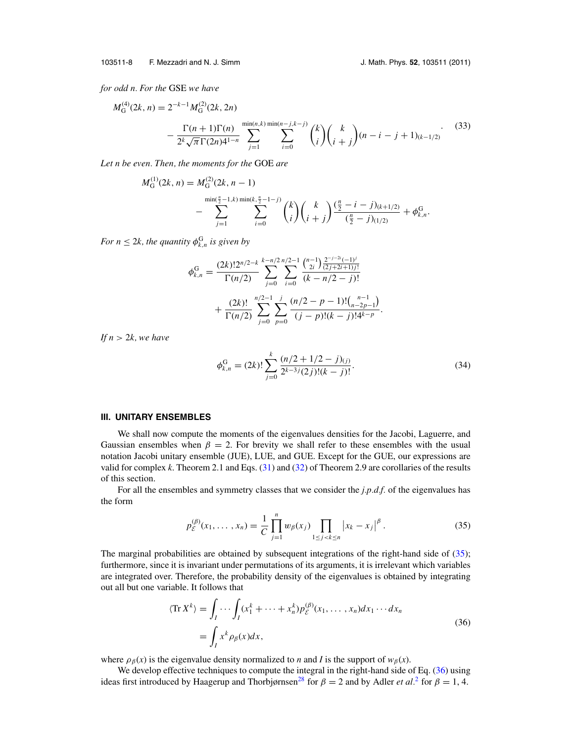<span id="page-9-0"></span>*for odd n. For the* GSE *we have*

$$
M_G^{(4)}(2k, n) = 2^{-k-1} M_G^{(2)}(2k, 2n)
$$
  

$$
- \frac{\Gamma(n+1)\Gamma(n)}{2^k \sqrt{\pi} \Gamma(2n) 4^{1-n}} \sum_{j=1}^{\min(n,k)} \sum_{i=0}^{\min(n-j,k-j)} {k \choose i} {k \choose i+j} (n-i-j+1)_{(k-1/2)}.
$$
 (33)

*Let n be even. Then, the moments for the* GOE *are*

$$
M_{\mathcal{G}}^{(1)}(2k,n) = M_{\mathcal{G}}^{(2)}(2k,n-1)
$$
  
-
$$
\sum_{j=1}^{\min(\frac{n}{2}-1,k)\min(k,\frac{n}{2}-1-j)} \binom{k}{i} \binom{k}{i+j} \frac{(\frac{n}{2}-i-j)_{(k+1/2)}}{(\frac{n}{2}-j)_{(1/2)}} + \phi_{k,n}^{\mathcal{G}}.
$$

*For*  $n \leq 2k$ , the quantity  $\phi_{k,n}^G$  is given by

$$
\phi_{k,n}^{\mathcal{G}} = \frac{(2k)!2^{n/2-k}}{\Gamma(n/2)} \sum_{j=0}^{k-n/2} \sum_{i=0}^{n/2-1} \frac{\binom{n-1}{2i} \frac{2^{-j-2i}(-1)^j}{(2j+2i+1)j!}}{(k-n/2-j)!} + \frac{(2k)!}{\Gamma(n/2)} \sum_{j=0}^{n/2-1} \sum_{p=0}^{j} \frac{(n/2-p-1)!(\binom{n-1}{n-2p-1})}{(j-p)!(k-j)!4^{k-p}}.
$$

*If*  $n > 2k$ *, we have* 

$$
\phi_{k,n}^G = (2k)! \sum_{j=0}^k \frac{(n/2 + 1/2 - j)_{(j)}}{2^{k-3}j(2j)!(k-j)!}.
$$
\n(34)

#### **III. UNITARY ENSEMBLES**

We shall now compute the moments of the eigenvalues densities for the Jacobi, Laguerre, and Gaussian ensembles when  $\beta = 2$ . For brevity we shall refer to these ensembles with the usual notation Jacobi unitary ensemble (JUE), LUE, and GUE. Except for the GUE, our expressions are valid for complex *k*. Theorem 2.1 and Eqs. [\(31\)](#page-8-0) and [\(32\)](#page-8-0) of Theorem 2.9 are corollaries of the results of this section.

For all the ensembles and symmetry classes that we consider the *j.p.d.f.* of the eigenvalues has the form

$$
p_{\mathcal{E}}^{(\beta)}(x_1,\ldots,x_n) = \frac{1}{C} \prod_{j=1}^n w_{\beta}(x_j) \prod_{1 \le j < k \le n} \left| x_k - x_j \right|^\beta. \tag{35}
$$

The marginal probabilities are obtained by subsequent integrations of the right-hand side of (35); furthermore, since it is invariant under permutations of its arguments, it is irrelevant which variables are integrated over. Therefore, the probability density of the eigenvalues is obtained by integrating out all but one variable. It follows that

$$
\langle \operatorname{Tr} X^k \rangle = \int_I \cdots \int_I (x_1^k + \cdots + x_n^k) p_{\varepsilon}^{(\beta)}(x_1, \dots, x_n) dx_1 \cdots dx_n
$$
  
= 
$$
\int_I x^k \rho_{\beta}(x) dx,
$$
 (36)

where  $\rho_{\beta}(x)$  is the eigenvalue density normalized to *n* and *I* is the support of  $w_{\beta}(x)$ .

We develop effective techniques to compute the integral in the right-hand side of Eq. (36) using ideas first introduced by Haagerup and Thorbjørnsen<sup>[2](#page-29-0)8</sup> for  $\beta = 2$  and by Adler *et al.*<sup>2</sup> for  $\beta = 1, 4$ .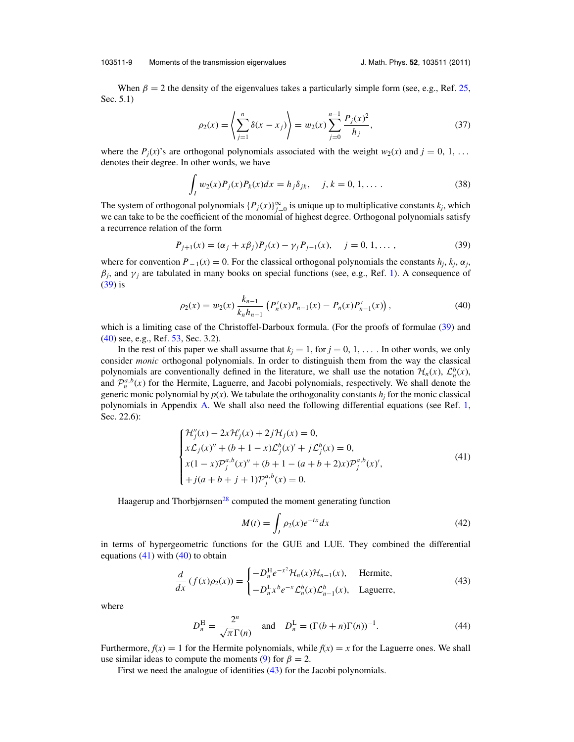#### <span id="page-10-0"></span>103511-9 Moments of the transmission eigenvalues J. Math. Phys. **52**, 103511 (2011)

When  $\beta = 2$  the density of the eigenvalues takes a particularly simple form (see, e.g., Ref. [25,](#page-29-0) Sec. 5.1)

$$
\rho_2(x) = \left\langle \sum_{j=1}^n \delta(x - x_j) \right\rangle = w_2(x) \sum_{j=0}^{n-1} \frac{P_j(x)^2}{h_j},\tag{37}
$$

where the  $P_i(x)$ 's are orthogonal polynomials associated with the weight  $w_2(x)$  and  $j = 0, 1, \ldots$ denotes their degree. In other words, we have

$$
\int_{I} w_2(x) P_j(x) P_k(x) dx = h_j \delta_{jk}, \quad j, k = 0, 1, \dots
$$
\n(38)

The system of orthogonal polynomials  $\{P_j(x)\}_{j=0}^{\infty}$  is unique up to multiplicative constants  $k_j$ , which we can take to be the coefficient of the monomial of highest degree. Orthogonal polynomials satisfy a recurrence relation of the form

$$
P_{j+1}(x) = (\alpha_j + x\beta_j)P_j(x) - \gamma_j P_{j-1}(x), \quad j = 0, 1, ..., \tag{39}
$$

where for convention  $P_{-1}(x) = 0$ . For the classical orthogonal polynomials the constants  $h_j$ ,  $k_j$ ,  $\alpha_j$ ,  $\beta_j$ , and  $\gamma_j$  are tabulated in many books on special functions (see, e.g., Ref. [1\)](#page-29-0). A consequence of (39) is

$$
\rho_2(x) = w_2(x) \frac{k_{n-1}}{k_n h_{n-1}} \left( P'_n(x) P_{n-1}(x) - P_n(x) P'_{n-1}(x) \right),\tag{40}
$$

which is a limiting case of the Christoffel-Darboux formula. (For the proofs of formulae (39) and (40) see, e.g., Ref. [53,](#page-30-0) Sec. 3.2).

In the rest of this paper we shall assume that  $k_j = 1$ , for  $j = 0, 1, \ldots$ . In other words, we only consider *monic* orthogonal polynomials. In order to distinguish them from the way the classical polynomials are conventionally defined in the literature, we shall use the notation  $\mathcal{H}_n(x)$ ,  $\mathcal{L}_n^b(x)$ , and  $\mathcal{P}_n^{a,b}(x)$  for the Hermite, Laguerre, and Jacobi polynomials, respectively. We shall denote the generic monic polynomial by  $p(x)$ . We tabulate the orthogonality constants  $h_i$  for the monic classical polynomials in Appendix [A.](#page-27-0) We shall also need the following differential equations (see Ref. [1,](#page-29-0) Sec. 22.6):

$$
\begin{cases}\n\mathcal{H}_{j}''(x) - 2x\mathcal{H}_{j}'(x) + 2j\mathcal{H}_{j}(x) = 0, \\
x\mathcal{L}_{j}(x)'' + (b+1-x)\mathcal{L}_{j}^{b}(x)' + j\mathcal{L}_{j}^{b}(x) = 0, \\
x(1-x)\mathcal{P}_{j}^{a,b}(x)'' + (b+1 - (a+b+2)x)\mathcal{P}_{j}^{a,b}(x)', \\
+j(a+b+j+1)\mathcal{P}_{j}^{a,b}(x) = 0.\n\end{cases}
$$
\n(41)

Haagerup and Thorbjørnsen<sup>28</sup> computed the moment generating function

$$
M(t) = \int_{I} \rho_2(x)e^{-tx}dx
$$
\n(42)

in terms of hypergeometric functions for the GUE and LUE. They combined the differential equations  $(41)$  with  $(40)$  to obtain

$$
\frac{d}{dx}\left(f(x)\rho_2(x)\right) = \begin{cases}\n-D_n^{\mathrm{H}}e^{-x^2}\mathcal{H}_n(x)\mathcal{H}_{n-1}(x), & \text{Hermite,} \\
-D_n^{\mathrm{L}}x^b e^{-x}\mathcal{L}_n^b(x)\mathcal{L}_{n-1}^b(x), & \text{Laguerre,}\n\end{cases}
$$
\n(43)

where

$$
D_n^{\mathrm{H}} = \frac{2^n}{\sqrt{\pi} \Gamma(n)} \quad \text{and} \quad D_n^{\mathrm{L}} = (\Gamma(b+n)\Gamma(n))^{-1}.
$$
 (44)

Furthermore,  $f(x) = 1$  for the Hermite polynomials, while  $f(x) = x$  for the Laguerre ones. We shall use similar ideas to compute the moments [\(9\)](#page-4-0) for  $\beta = 2$ .

First we need the analogue of identities (43) for the Jacobi polynomials.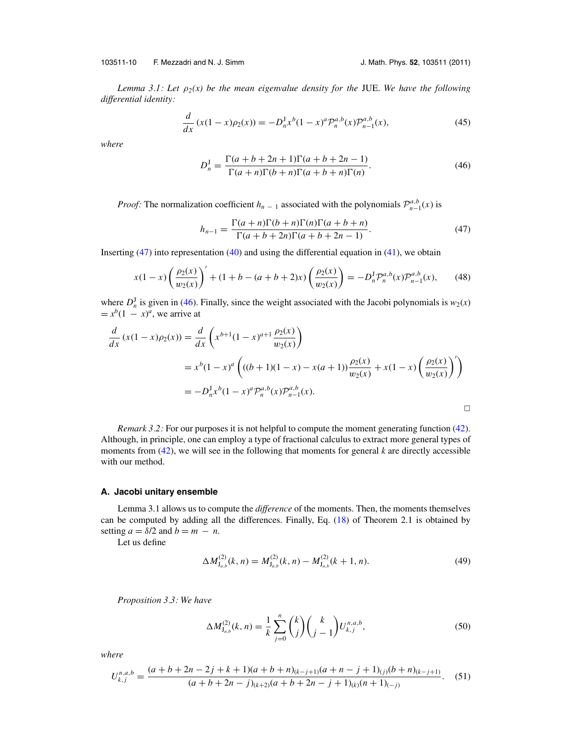<span id="page-11-0"></span>103511-10 F. Mezzadri and N. J. Simm J. Math. Phys. **52**, 103511 (2011)

*Lemma 3.1: Let*  $\rho_2(x)$  be the mean eigenvalue density for the JUE. We have the following *differential identity:*

$$
\frac{d}{dx}\left(x(1-x)\rho_2(x)\right) = -D_n^J x^b (1-x)^a \mathcal{P}_n^{a,b}(x) \mathcal{P}_{n-1}^{a,b}(x),\tag{45}
$$

*where*

$$
D_n^J = \frac{\Gamma(a+b+2n+1)\Gamma(a+b+2n-1)}{\Gamma(a+n)\Gamma(b+n)\Gamma(a+b+n)\Gamma(n)}.
$$
\n(46)

*Proof:* The normalization coefficient *h<sub>n*</sub> − 1 associated with the polynomials  $\mathcal{P}_{n-1}^{a,b}(x)$  is

$$
h_{n-1} = \frac{\Gamma(a+n)\Gamma(b+n)\Gamma(n)\Gamma(a+b+n)}{\Gamma(a+b+2n)\Gamma(a+b+2n-1)}.
$$
\n(47)

Inserting  $(47)$  into representation  $(40)$  and using the differential equation in  $(41)$ , we obtain

$$
x(1-x)\left(\frac{\rho_2(x)}{w_2(x)}\right)' + (1+b - (a+b+2)x)\left(\frac{\rho_2(x)}{w_2(x)}\right) = -D_n^J \mathcal{P}_n^{a,b}(x)\mathcal{P}_{n-1}^{a,b}(x),\tag{48}
$$

where  $D_n^{\text{J}}$  is given in (46). Finally, since the weight associated with the Jacobi polynomials is  $w_2(x)$  $= x^{b}(1 - x)^{a}$ , we arrive at

$$
\frac{d}{dx} (x(1-x)\rho_2(x)) = \frac{d}{dx} \left( x^{b+1} (1-x)^{a+1} \frac{\rho_2(x)}{w_2(x)} \right)
$$
  
\n
$$
= x^b (1-x)^a \left( ((b+1)(1-x) - x(a+1)) \frac{\rho_2(x)}{w_2(x)} + x(1-x) \left( \frac{\rho_2(x)}{w_2(x)} \right)' \right)
$$
  
\n
$$
= -D_n^J x^b (1-x)^a \mathcal{P}_n^{a,b}(x) \mathcal{P}_{n-1}^{a,b}(x).
$$

*Remark 3.2:* For our purposes it is not helpful to compute the moment generating function [\(42\)](#page-10-0). Although, in principle, one can employ a type of fractional calculus to extract more general types of moments from [\(42\)](#page-10-0), we will see in the following that moments for general *k* are directly accessible with our method.

#### **A. Jacobi unitary ensemble**

Lemma 3.1 allows us to compute the *difference* of the moments. Then, the moments themselves can be computed by adding all the differences. Finally, Eq. [\(18\)](#page-6-0) of Theorem 2.1 is obtained by setting  $a = \delta/2$  and  $b = m - n$ .

Let us define

$$
\Delta M_{\mathbf{J}_{a,b}}^{(2)}(k,n) = M_{\mathbf{J}_{a,b}}^{(2)}(k,n) - M_{\mathbf{J}_{a,b}}^{(2)}(k+1,n). \tag{49}
$$

*Proposition 3.3: We have*

$$
\Delta M_{\mathbf{J}_{a,b}}^{(2)}(k,n) = \frac{1}{k} \sum_{j=0}^{n} {k \choose j} {k \choose j-1} U_{k,j}^{n,a,b}, \tag{50}
$$

*where*

$$
U_{k,j}^{n,a,b} = \frac{(a+b+2n-2j+k+1)(a+b+n)(b-j+1)(a+n-j+1)(j)(b+n)(k-j+1)}{(a+b+2n-j)(k+2)(a+b+2n-j+1)(k)(n+1)(-j)}.
$$
 (51)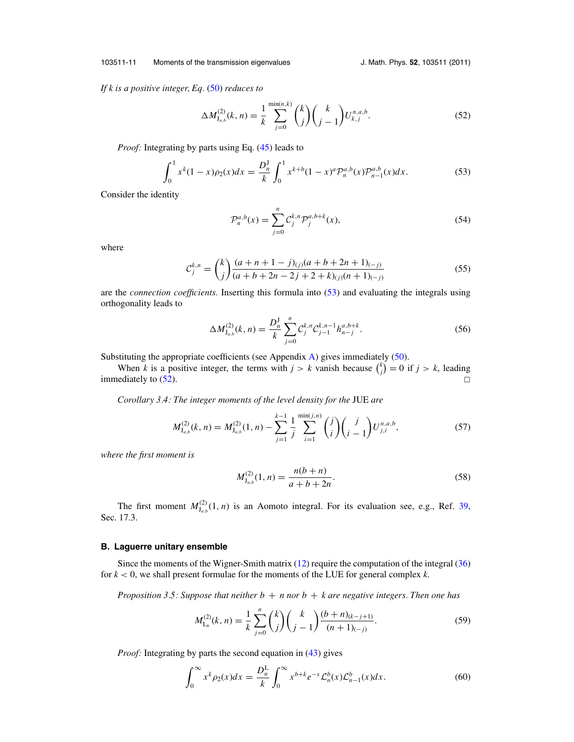#### <span id="page-12-0"></span>103511-11 Moments of the transmission eigenvalues J. Math. Phys. **52**, 103511 (2011)

*If k is a positive integer, Eq.* [\(50\)](#page-11-0) *reduces to*

$$
\Delta M_{J_{a,b}}^{(2)}(k,n) = \frac{1}{k} \sum_{j=0}^{\min(n,k)} \binom{k}{j} \binom{k}{j-1} U_{k,j}^{n,a,b}.
$$
\n(52)

*Proof:* Integrating by parts using Eq. [\(45\)](#page-11-0) leads to

$$
\int_0^1 x^k (1-x)\rho_2(x)dx = \frac{D_n^1}{k} \int_0^1 x^{k+b} (1-x)^a \mathcal{P}_n^{a,b}(x) \mathcal{P}_{n-1}^{a,b}(x)dx.
$$
 (53)

Consider the identity

$$
\mathcal{P}_n^{a,b}(x) = \sum_{j=0}^n \mathcal{C}_j^{k,n} \mathcal{P}_j^{a,b+k}(x),\tag{54}
$$

where

$$
\mathcal{C}_{j}^{k,n} = {k \choose j} \frac{(a+n+1-j)_{(j)}(a+b+2n+1)_{(-j)}}{(a+b+2n-2j+2+k)_{(j)}(n+1)_{(-j)}} \tag{55}
$$

are the *connection coefficients.* Inserting this formula into (53) and evaluating the integrals using orthogonality leads to

$$
\Delta M_{\mathbf{J}_{a,b}}^{(2)}(k,n) = \frac{D_n^{\mathbf{J}}}{k} \sum_{j=0}^n C_j^{k,n} C_{j-1}^{k,n-1} h_{n-j}^{a,b+k}.
$$
 (56)

Substituting the appropriate coefficients (see Appendix [A\)](#page-27-0) gives immediately [\(50\)](#page-11-0).

When *k* is a positive integer, the terms with  $j > k$  vanish because  $\binom{k}{j} = 0$  if  $j > k$ , leading immediately to  $(52)$ .

*Corollary 3.4: The integer moments of the level density for the* JUE *are*

$$
M_{J_{a,b}}^{(2)}(k,n) = M_{J_{a,b}}^{(2)}(1,n) - \sum_{j=1}^{k-1} \frac{1}{j} \sum_{i=1}^{\min(j,n)} \binom{j}{i} \binom{j}{i-1} U_{j,i}^{n,a,b},\tag{57}
$$

*where the first moment is*

$$
M_{J_{a,b}}^{(2)}(1,n) = \frac{n(b+n)}{a+b+2n}.
$$
\n(58)

The first moment  $M^{(2)}_{J_{a,b}}(1, n)$  is an Aomoto integral. For its evaluation see, e.g., Ref. [39,](#page-30-0) Sec. 17.3.

#### **B. Laguerre unitary ensemble**

Since the moments of the Wigner-Smith matrix  $(12)$  require the computation of the integral  $(36)$ for *k* < 0, we shall present formulae for the moments of the LUE for general complex *k*.

*Proposition 3.5: Suppose that neither*  $b + n$  *nor*  $b + k$  *are negative integers. Then one has* 

$$
M_{\mathsf{L}_b}^{(2)}(k,n) = \frac{1}{k} \sum_{j=0}^n \binom{k}{j} \binom{k}{j-1} \frac{(b+n)_{(k-j+1)}}{(n+1)_{(-j)}}.
$$
 (59)

*Proof:* Integrating by parts the second equation in [\(43\)](#page-10-0) gives

$$
\int_0^\infty x^k \rho_2(x) dx = \frac{D_n^L}{k} \int_0^\infty x^{b+k} e^{-x} \mathcal{L}_n^b(x) \mathcal{L}_{n-1}^b(x) dx.
$$
 (60)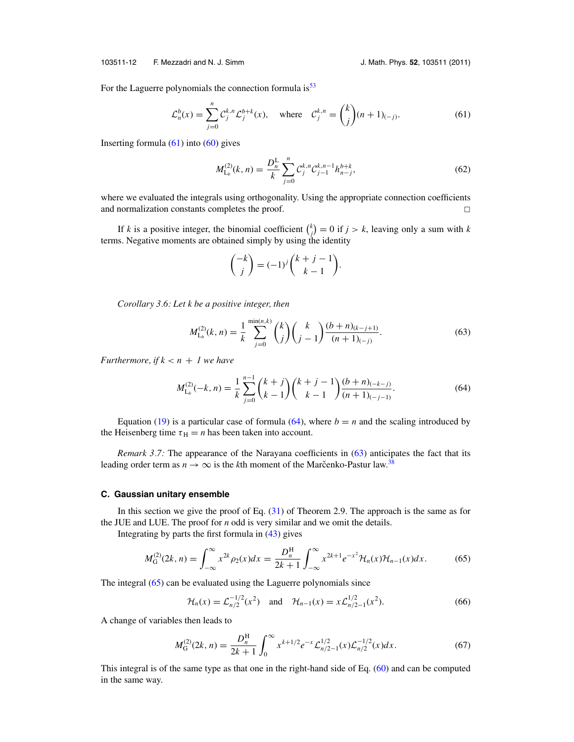<span id="page-13-0"></span>103511-12 F. Mezzadri and N. J. Simm J. Math. Phys. **52**, 103511 (2011)

For the Laguerre polynomials the connection formula is<sup>[53](#page-30-0)</sup>

$$
\mathcal{L}_n^b(x) = \sum_{j=0}^n \mathcal{C}_j^{k,n} \mathcal{L}_j^{b+k}(x), \quad \text{where} \quad \mathcal{C}_j^{k,n} = \binom{k}{j} (n+1)_{(-j)}.
$$
 (61)

Inserting formula  $(61)$  into  $(60)$  gives

$$
M_{\mathsf{L}_{b}}^{(2)}(k,n) = \frac{D_{n}^{\mathsf{L}}}{k} \sum_{j=0}^{n} \mathcal{C}_{j}^{k,n} \mathcal{C}_{j-1}^{k,n-1} h_{n-j}^{b+k},
$$
\n(62)

where we evaluated the integrals using orthogonality. Using the appropriate connection coefficients and normalization constants completes the proof. - $\Box$ 

If *k* is a positive integer, the binomial coefficient  $\binom{k}{j} = 0$  if  $j > k$ , leaving only a sum with *k* terms. Negative moments are obtained simply by using the identity

$$
\binom{-k}{j} = (-1)^j \binom{k+j-1}{k-1}.
$$

*Corollary 3.6: Let k be a positive integer, then*

$$
M_{\mathsf{L}_{b}}^{(2)}(k,n) = \frac{1}{k} \sum_{j=0}^{\min(n,k)} \binom{k}{j} \binom{k}{j-1} \frac{(b+n)_{(k-j+1)}}{(n+1)_{(-j)}}.
$$
 (63)

*Furthermore, if*  $k < n + 1$  *we have* 

$$
M_{\mathcal{L}_b}^{(2)}(-k,n) = \frac{1}{k} \sum_{j=0}^{n-1} {k+j \choose k-1} {k+j-1 \choose k-1} \frac{(b+n)_{(-k-j)}}{(n+1)_{(-j-1)}}.
$$
 (64)

Equation [\(19\)](#page-6-0) is a particular case of formula (64), where  $b = n$  and the scaling introduced by the Heisenberg time  $\tau_H = n$  has been taken into account.

*Remark 3.7:* The appearance of the Narayana coefficients in (63) anticipates the fact that its leading order term as  $n \to \infty$  is the *k*th moment of the Marcenko-Pastur law.<sup>[38](#page-30-0)</sup>

#### **C. Gaussian unitary ensemble**

In this section we give the proof of Eq.  $(31)$  of Theorem 2.9. The approach is the same as for the JUE and LUE. The proof for *n* odd is very similar and we omit the details.

Integrating by parts the first formula in  $(43)$  gives

$$
M_G^{(2)}(2k,n) = \int_{-\infty}^{\infty} x^{2k} \rho_2(x) dx = \frac{D_n^H}{2k+1} \int_{-\infty}^{\infty} x^{2k+1} e^{-x^2} \mathcal{H}_n(x) \mathcal{H}_{n-1}(x) dx.
$$
 (65)

The integral (65) can be evaluated using the Laguerre polynomials since

$$
\mathcal{H}_n(x) = \mathcal{L}_{n/2}^{-1/2}(x^2) \quad \text{and} \quad \mathcal{H}_{n-1}(x) = x \mathcal{L}_{n/2-1}^{1/2}(x^2). \tag{66}
$$

A change of variables then leads to

$$
M_{\mathcal{G}}^{(2)}(2k,n) = \frac{D_n^{\mathcal{H}}}{2k+1} \int_0^\infty x^{k+1/2} e^{-x} \mathcal{L}_{n/2-1}^{1/2}(x) \mathcal{L}_{n/2}^{-1/2}(x) dx.
$$
 (67)

This integral is of the same type as that one in the right-hand side of Eq. [\(60\)](#page-12-0) and can be computed in the same way.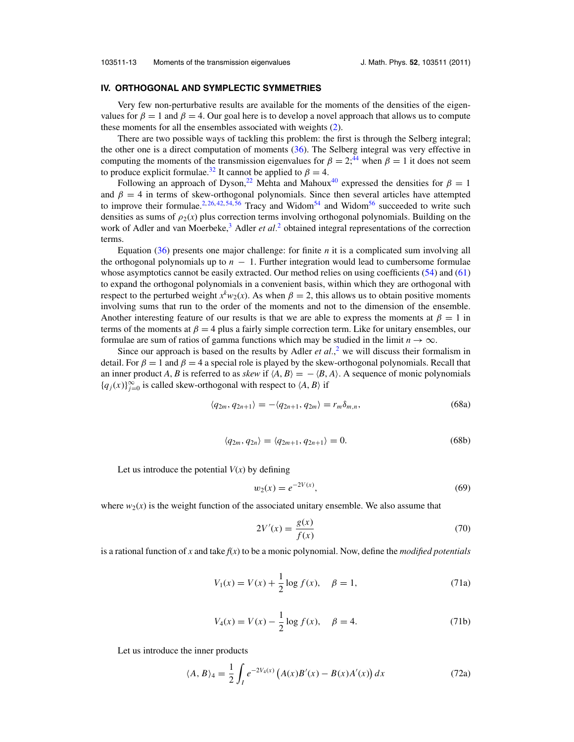#### <span id="page-14-0"></span>**IV. ORTHOGONAL AND SYMPLECTIC SYMMETRIES**

Very few non-perturbative results are available for the moments of the densities of the eigenvalues for  $\beta = 1$  and  $\beta = 4$ . Our goal here is to develop a novel approach that allows us to compute these moments for all the ensembles associated with weights [\(2\)](#page-2-0).

There are two possible ways of tackling this problem: the first is through the Selberg integral; the other one is a direct computation of moments [\(36\)](#page-9-0). The Selberg integral was very effective in computing the moments of the transmission eigenvalues for  $\beta = 2$ ;<sup>44</sup> when  $\beta = 1$  it does not seem to produce explicit formulae.<sup>32</sup> It cannot be applied to  $\beta = 4$ .

Following an approach of Dyson,<sup>22</sup> Mehta and Mahoux<sup>40</sup> expressed the densities for  $\beta = 1$ and  $\beta = 4$  in terms of skew-orthogonal polynomials. Since then several articles have attempted to improve their formulae.<sup>[2,](#page-29-0) [26,](#page-29-0) [42,](#page-30-0) [54,](#page-30-0) [56](#page-30-0)</sup> Tracy and Widom<sup>54</sup> and Widom<sup>56</sup> succeeded to write such densities as sums of  $\rho_2(x)$  plus correction terms involving orthogonal polynomials. Building on the work of Adler and van Moerbeke,<sup>3</sup> Adler *et al.*<sup>[2](#page-29-0)</sup> obtained integral representations of the correction terms.

Equation [\(36\)](#page-9-0) presents one major challenge: for finite *n* it is a complicated sum involving all the orthogonal polynomials up to  $n - 1$ . Further integration would lead to cumbersome formulae whose asymptotics cannot be easily extracted. Our method relies on using coefficients [\(54\)](#page-12-0) and [\(61\)](#page-13-0) to expand the orthogonal polynomials in a convenient basis, within which they are orthogonal with respect to the perturbed weight  $x^k w_2(x)$ . As when  $\beta = 2$ , this allows us to obtain positive moments involving sums that run to the order of the moments and not to the dimension of the ensemble. Another interesting feature of our results is that we are able to express the moments at  $\beta = 1$  in terms of the moments at  $\beta = 4$  plus a fairly simple correction term. Like for unitary ensembles, our formulae are sum of ratios of gamma functions which may be studied in the limit  $n \to \infty$ .

Since our approach is based on the results by Adler *et al.*,<sup>[2](#page-29-0)</sup> we will discuss their formalism in detail. For  $\beta = 1$  and  $\beta = 4$  a special role is played by the skew-orthogonal polynomials. Recall that an inner product *A*, *B* is referred to as *skew* if  $\langle A, B \rangle = - \langle B, A \rangle$ . A sequence of monic polynomials {*q<sub>j</sub>*(*x*)}<sup>∞</sup><sub>*j*=0</sub> is called skew-orthogonal with respect to  $\langle A, B \rangle$  if

$$
\langle q_{2m}, q_{2n+1} \rangle = -\langle q_{2n+1}, q_{2m} \rangle = r_m \delta_{m,n},\tag{68a}
$$

$$
\langle q_{2m}, q_{2n} \rangle = \langle q_{2m+1}, q_{2n+1} \rangle = 0. \tag{68b}
$$

Let us introduce the potential  $V(x)$  by defining

$$
w_2(x) = e^{-2V(x)},\tag{69}
$$

where  $w_2(x)$  is the weight function of the associated unitary ensemble. We also assume that

$$
2V'(x) = \frac{g(x)}{f(x)}
$$
 (70)

is a rational function of *x* and take *f*(*x*) to be a monic polynomial. Now, define the *modified potentials*

$$
V_1(x) = V(x) + \frac{1}{2}\log f(x), \quad \beta = 1,
$$
 (71a)

$$
V_4(x) = V(x) - \frac{1}{2} \log f(x), \quad \beta = 4.
$$
 (71b)

Let us introduce the inner products

$$
\langle A, B \rangle_4 = \frac{1}{2} \int_I e^{-2V_4(x)} \left( A(x) B'(x) - B(x) A'(x) \right) dx \tag{72a}
$$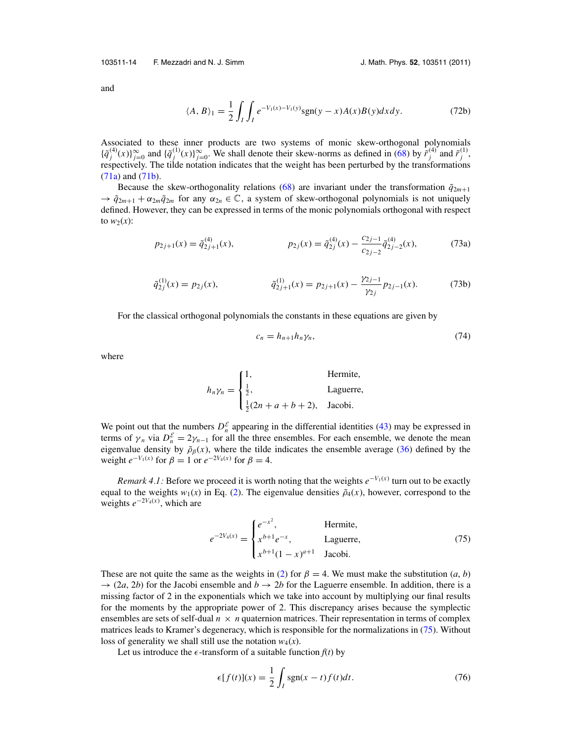<span id="page-15-0"></span>103511-14 F. Mezzadri and N. J. Simm J. Math. Phys. **52**, 103511 (2011)

and

$$
\langle A, B \rangle_1 = \frac{1}{2} \int_I \int_I e^{-V_1(x) - V_1(y)} \text{sgn}(y - x) A(x) B(y) dx dy. \tag{72b}
$$

Associated to these inner products are two systems of monic skew-orthogonal polynomials  $\{\tilde{q}_j^{(4)}(x)\}_{j=0}^\infty$  and  $\{\tilde{q}_j^{(1)}(x)\}_{j=0}^\infty$ . We shall denote their skew-norms as defined in [\(68\)](#page-14-0) by  $\tilde{r}_j^{(4)}$  and  $\tilde{r}_j^{(1)}$ , respectively. The tilde notation indicates that the weight has been perturbed by the transformations [\(71a\)](#page-14-0) and [\(71b\)](#page-14-0).

Because the skew-orthogonality relations [\(68\)](#page-14-0) are invariant under the transformation  $\tilde{q}_{2m+1}$  $\rightarrow \tilde{q}_{2m+1} + \alpha_{2m}\tilde{q}_{2m}$  for any  $\alpha_{2n} \in \mathbb{C}$ , a system of skew-orthogonal polynomials is not uniquely defined. However, they can be expressed in terms of the monic polynomials orthogonal with respect to  $w_2(x)$ :

$$
p_{2j+1}(x) = \tilde{q}_{2j+1}^{(4)}(x), \qquad p_{2j}(x) = \tilde{q}_{2j}^{(4)}(x) - \frac{c_{2j-1}}{c_{2j-2}} \tilde{q}_{2j-2}^{(4)}(x), \qquad (73a)
$$

$$
\tilde{q}_{2j}^{(1)}(x) = p_{2j}(x), \qquad \tilde{q}_{2j+1}^{(1)}(x) = p_{2j+1}(x) - \frac{\gamma_{2j-1}}{\gamma_{2j}} p_{2j-1}(x). \tag{73b}
$$

For the classical orthogonal polynomials the constants in these equations are given by

$$
c_n = h_{n+1} h_n \gamma_n,\tag{74}
$$

where

$$
h_n \gamma_n = \begin{cases} 1, & \text{Hermite,} \\ \frac{1}{2}, & \text{Laguerre,} \\ \frac{1}{2}(2n + a + b + 2), & \text{Jacobi.} \end{cases}
$$

We point out that the numbers  $D_n^{\mathcal{E}}$  appearing in the differential identities [\(43\)](#page-10-0) may be expressed in terms of  $\gamma_n$  via  $D_n^{\mathcal{E}} = 2\gamma_{n-1}$  for all the three ensembles. For each ensemble, we denote the mean eigenvalue density by  $\tilde{\rho}_{\beta}(x)$ , where the tilde indicates the ensemble average [\(36\)](#page-9-0) defined by the weight  $e^{-V_1(x)}$  for  $\beta = 1$  or  $e^{-2V_4(x)}$  for  $\beta = 4$ .

*Remark 4.1:* Before we proceed it is worth noting that the weights  $e^{-V_1(x)}$  turn out to be exactly equal to the weights  $w_1(x)$  in Eq. [\(2\)](#page-2-0). The eigenvalue densities  $\tilde{\rho}_4(x)$ , however, correspond to the weights *e*<sup>−</sup>2*V*4(*x*) , which are

$$
e^{-2V_4(x)} = \begin{cases} e^{-x^2}, & \text{Hermite,} \\ x^{b+1}e^{-x}, & \text{Laguerre,} \\ x^{b+1}(1-x)^{a+1} & \text{Jacobi.} \end{cases}
$$
(75)

These are not quite the same as the weights in [\(2\)](#page-2-0) for  $\beta = 4$ . We must make the substitution (*a*, *b*)  $\rightarrow$  (2*a*, 2*b*) for the Jacobi ensemble and *b*  $\rightarrow$  2*b* for the Laguerre ensemble. In addition, there is a missing factor of 2 in the exponentials which we take into account by multiplying our final results for the moments by the appropriate power of 2. This discrepancy arises because the symplectic ensembles are sets of self-dual  $n \times n$  quaternion matrices. Their representation in terms of complex matrices leads to Kramer's degeneracy, which is responsible for the normalizations in (75). Without loss of generality we shall still use the notation  $w_4(x)$ .

Let us introduce the  $\epsilon$ -transform of a suitable function  $f(t)$  by

$$
\epsilon[f(t)](x) = \frac{1}{2} \int_{I} sgn(x-t)f(t)dt.
$$
 (76)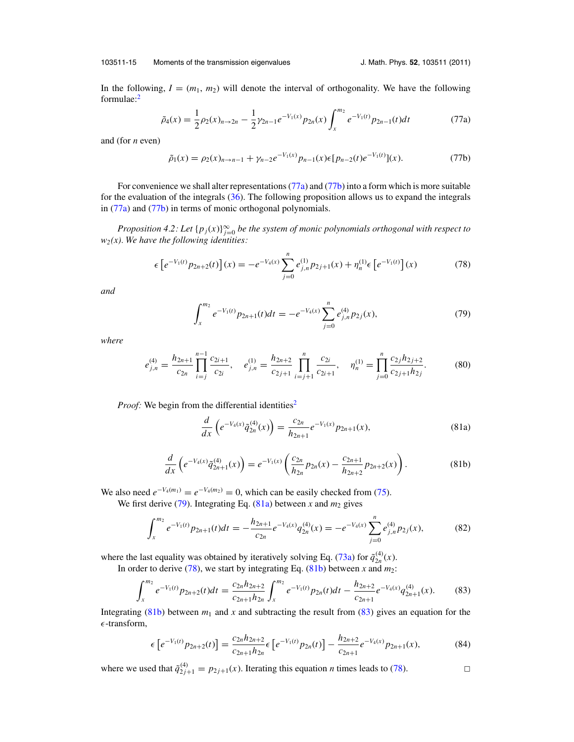<span id="page-16-0"></span>103511-15 Moments of the transmission eigenvalues J. Math. Phys. **52**, 103511 (2011)

In the following,  $I = (m_1, m_2)$  will denote the interval of orthogonality. We have the following formulae[:2](#page-29-0)

$$
\tilde{\rho}_4(x) = \frac{1}{2}\rho_2(x)_{n \to 2n} - \frac{1}{2}\gamma_{2n-1}e^{-V_1(x)}p_{2n}(x)\int_x^{m_2}e^{-V_1(t)}p_{2n-1}(t)dt
$$
\n(77a)

and (for *n* even)

$$
\tilde{\rho}_1(x) = \rho_2(x)_{n \to n-1} + \gamma_{n-2} e^{-V_1(x)} p_{n-1}(x) \epsilon [p_{n-2}(t) e^{-V_1(t)}](x).
$$
\n(77b)

For convenience we shall alter representations (77a) and (77b) into a form which is more suitable for the evaluation of the integrals [\(36\)](#page-9-0). The following proposition allows us to expand the integrals in (77a) and (77b) in terms of monic orthogonal polynomials.

*Proposition 4.2: Let*  ${p_j(x)}_{j=0}^\infty$  *be the system of monic polynomials orthogonal with respect to w2(x). We have the following identities:*

$$
\epsilon \left[ e^{-V_1(t)} p_{2n+2}(t) \right](x) = -e^{-V_4(x)} \sum_{j=0}^n e^{(1)}_{j,n} p_{2j+1}(x) + \eta_n^{(1)} \epsilon \left[ e^{-V_1(t)} \right](x) \tag{78}
$$

*and*

$$
\int_{x}^{m_2} e^{-V_1(t)} p_{2n+1}(t) dt = -e^{-V_4(x)} \sum_{j=0}^{n} e_{j,n}^{(4)} p_{2j}(x), \tag{79}
$$

*where*

$$
e_{j,n}^{(4)} = \frac{h_{2n+1}}{c_{2n}} \prod_{i=j}^{n-1} \frac{c_{2i+1}}{c_{2i}}, \quad e_{j,n}^{(1)} = \frac{h_{2n+2}}{c_{2j+1}} \prod_{i=j+1}^{n} \frac{c_{2i}}{c_{2i+1}}, \quad \eta_n^{(1)} = \prod_{j=0}^{n} \frac{c_{2j} h_{2j+2}}{c_{2j+1} h_{2j}}.
$$
 (80)

*Proof:* We begin from the differential identities<sup>2</sup>

$$
\frac{d}{dx}\left(e^{-V_4(x)}\tilde{q}_{2n}^{(4)}(x)\right) = \frac{c_{2n}}{h_{2n+1}}e^{-V_1(x)}p_{2n+1}(x),\tag{81a}
$$

$$
\frac{d}{dx}\left(e^{-V_4(x)}\tilde{q}_{2n+1}^{(4)}(x)\right)=e^{-V_1(x)}\left(\frac{c_{2n}}{h_{2n}}p_{2n}(x)-\frac{c_{2n+1}}{h_{2n+2}}p_{2n+2}(x)\right).
$$
\n(81b)

We also need  $e^{-V_4(m_1)} = e^{-V_4(m_2)} = 0$ , which can be easily checked from [\(75\)](#page-15-0).

We first derive  $(79)$ . Integrating Eq.  $(81a)$  between *x* and  $m_2$  gives

$$
\int_{x}^{m_2} e^{-V_1(t)} p_{2n+1}(t) dt = -\frac{h_{2n+1}}{c_{2n}} e^{-V_4(x)} q_{2n}^{(4)}(x) = -e^{-V_4(x)} \sum_{j=0}^{n} e_{j,n}^{(4)} p_{2j}(x), \tag{82}
$$

where the last equality was obtained by iteratively solving Eq. [\(73a\)](#page-15-0) for  $\tilde{q}_{2n}^{(4)}(x)$ . In order to derive  $(78)$ , we start by integrating Eq.  $(81b)$  between *x* and  $m_2$ :

$$
\int_{x}^{m_2} e^{-V_1(t)} p_{2n+2}(t)dt = \frac{c_{2n}h_{2n+2}}{c_{2n+1}h_{2n}} \int_{x}^{m_2} e^{-V_1(t)} p_{2n}(t)dt - \frac{h_{2n+2}}{c_{2n+1}} e^{-V_4(x)} q_{2n+1}^{(4)}(x).
$$
 (83)

Integrating (81b) between  $m_1$  and  $x$  and subtracting the result from (83) gives an equation for the  $\epsilon$ -transform,

$$
\epsilon \left[ e^{-V_1(t)} p_{2n+2}(t) \right] = \frac{c_{2n} h_{2n+2}}{c_{2n+1} h_{2n}} \epsilon \left[ e^{-V_1(t)} p_{2n}(t) \right] - \frac{h_{2n+2}}{c_{2n+1}} e^{-V_4(x)} p_{2n+1}(x), \tag{84}
$$

where we used that  $\tilde{q}_{2j+1}^{(4)} = p_{2j+1}(x)$ . Iterating this equation *n* times leads to (78).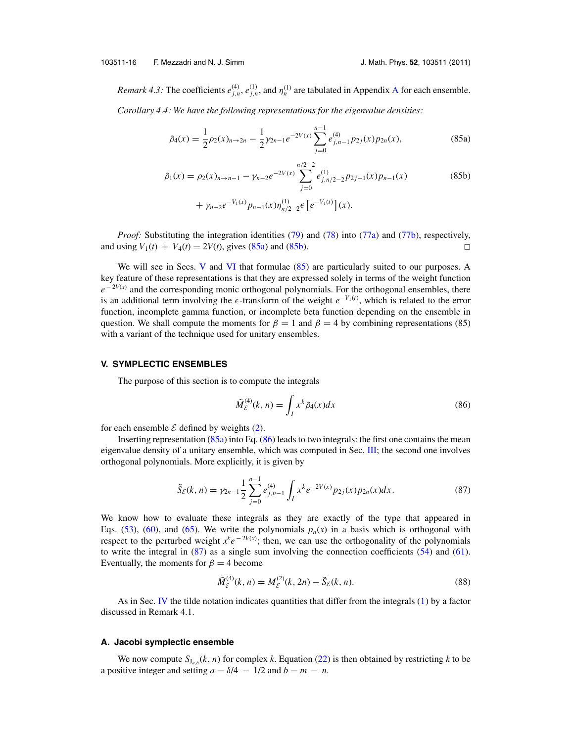<span id="page-17-0"></span>*Remark 4.3:* The coefficients  $e_{j,n}^{(4)}$ ,  $e_{j,n}^{(1)}$ , and  $\eta_n^{(1)}$  are tabulated in [A](#page-27-0)ppendix A for each ensemble. *Corollary 4.4: We have the following representations for the eigenvalue densities:*

$$
\tilde{\rho}_4(x) = \frac{1}{2}\rho_2(x)_{n \to 2n} - \frac{1}{2}\gamma_{2n-1}e^{-2V(x)}\sum_{j=0}^{n-1}e_{j,n-1}^{(4)}p_{2j}(x)p_{2n}(x),\tag{85a}
$$

$$
\tilde{\rho}_1(x) = \rho_2(x)_{n \to n-1} - \gamma_{n-2} e^{-2V(x)} \sum_{j=0}^{n/2-2} e_{j,n/2-2}^{(1)} p_{2j+1}(x) p_{n-1}(x) \n+ \gamma_{n-2} e^{-V_1(x)} p_{n-1}(x) \eta_{n/2-2}^{(1)} \epsilon \left[ e^{-V_1(t)} \right](x).
$$
\n(85b)

*Proof:* Substituting the integration identities [\(79\)](#page-16-0) and [\(78\)](#page-16-0) into [\(77a\)](#page-16-0) and [\(77b\)](#page-16-0), respectively, and using  $V_1(t) + V_4(t) = 2V(t)$ , gives (85a) and (85b).

We will see in Secs. V and [VI](#page-20-0) that formulae (85) are particularly suited to our purposes. A key feature of these representations is that they are expressed solely in terms of the weight function  $e^{-2V(x)}$  and the corresponding monic orthogonal polynomials. For the orthogonal ensembles, there is an additional term involving the  $\epsilon$ -transform of the weight  $e^{-V_1(t)}$ , which is related to the error function, incomplete gamma function, or incomplete beta function depending on the ensemble in question. We shall compute the moments for  $\beta = 1$  and  $\beta = 4$  by combining representations (85) with a variant of the technique used for unitary ensembles.

#### **V. SYMPLECTIC ENSEMBLES**

The purpose of this section is to compute the integrals

$$
\tilde{M}_{\mathcal{E}}^{(4)}(k,n) = \int_{I} x^{k} \tilde{\rho}_{4}(x) dx \tag{86}
$$

for each ensemble  $\mathcal E$  defined by weights [\(2\)](#page-2-0).

Inserting representation  $(85a)$  into Eq.  $(86)$  leads to two integrals: the first one contains the mean eigenvalue density of a unitary ensemble, which was computed in Sec. [III;](#page-9-0) the second one involves orthogonal polynomials. More explicitly, it is given by

$$
\tilde{S}_{\mathcal{E}}(k,n) = \gamma_{2n-1} \frac{1}{2} \sum_{j=0}^{n-1} e_{j,n-1}^{(4)} \int_{I} x^{k} e^{-2V(x)} p_{2j}(x) p_{2n}(x) dx.
$$
 (87)

We know how to evaluate these integrals as they are exactly of the type that appeared in Eqs. [\(53\)](#page-12-0), [\(60\)](#page-12-0), and [\(65\)](#page-13-0). We write the polynomials  $p_n(x)$  in a basis which is orthogonal with respect to the perturbed weight  $x^k e^{-2V(x)}$ ; then, we can use the orthogonality of the polynomials to write the integral in (87) as a single sum involving the connection coefficients [\(54\)](#page-12-0) and [\(61\)](#page-13-0). Eventually, the moments for  $\beta = 4$  become

$$
\tilde{M}_{\mathcal{E}}^{(4)}(k,n) = M_{\mathcal{E}}^{(2)}(k,2n) - \tilde{S}_{\mathcal{E}}(k,n).
$$
\n(88)

As in Sec. [IV](#page-14-0) the tilde notation indicates quantities that differ from the integrals [\(1\)](#page-2-0) by a factor discussed in Remark 4.1.

#### **A. Jacobi symplectic ensemble**

We now compute  $S_{J_a}$ , $(k, n)$  for complex *k*. Equation [\(22\)](#page-6-0) is then obtained by restricting *k* to be a positive integer and setting  $a = \delta/4 - 1/2$  and  $b = m - n$ .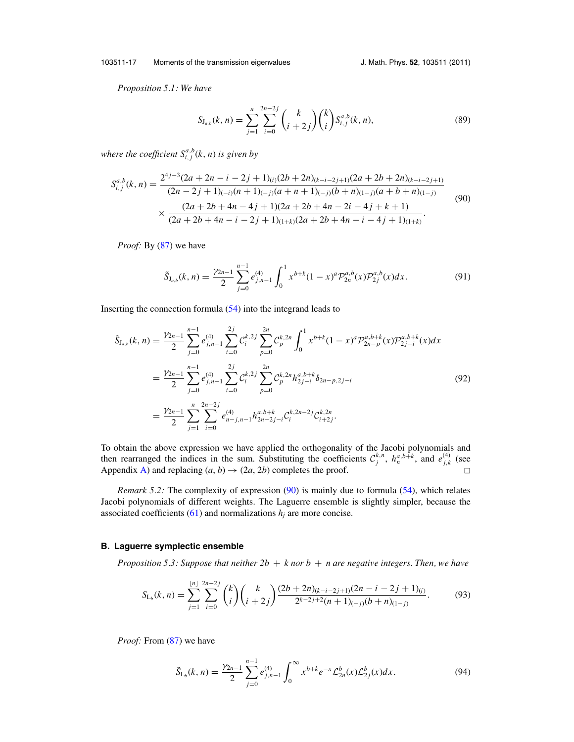<span id="page-18-0"></span>103511-17 Moments of the transmission eigenvalues J. Math. Phys. **52**, 103511 (2011)

*Proposition 5.1: We have*

$$
S_{J_{a,b}}(k,n) = \sum_{j=1}^{n} \sum_{i=0}^{2n-2j} {k \choose i+2j} {k \choose i} S_{i,j}^{a,b}(k,n),
$$
 (89)

where the coefficient  $S^{a,b}_{i,j}(k,n)$  is given by

$$
S_{i,j}^{a,b}(k,n) = \frac{2^{4j-3}(2a+2n-i-2j+1)_{(i)}(2b+2n)_{(k-i-2j+1)}(2a+2b+2n)_{(k-i-2j+1)}}{(2n-2j+1)_{(-i)}(n+1)_{(-j)}(a+n+1)_{(-j)}(b+n)_{(1-j)}(a+b+n)_{(1-j)}} \times \frac{(2a+2b+4n-4j+1)(2a+2b+4n-2i-4j+k+1)}{(2a+2b+4n-i-2j+1)_{(1+k)}(2a+2b+4n-i-4j+1)_{(1+k)}}.
$$
\n(90)

*Proof:* By [\(87\)](#page-17-0) we have

$$
\tilde{S}_{J_{a,b}}(k,n) = \frac{\gamma_{2n-1}}{2} \sum_{j=0}^{n-1} e_{j,n-1}^{(4)} \int_0^1 x^{b+k} (1-x)^a \mathcal{P}_{2n}^{a,b}(x) \mathcal{P}_{2j}^{a,b}(x) dx.
$$
 (91)

Inserting the connection formula [\(54\)](#page-12-0) into the integrand leads to

$$
\tilde{S}_{J_{a,b}}(k,n) = \frac{\gamma_{2n-1}}{2} \sum_{j=0}^{n-1} e_{j,n-1}^{(4)} \sum_{i=0}^{2j} C_i^{k,2j} \sum_{p=0}^{2n} C_p^{k,2n} \int_0^1 x^{b+k} (1-x)^a \mathcal{P}_{2n-p}^{a,b+k}(x) \mathcal{P}_{2j-i}^{a,b+k}(x) dx \n= \frac{\gamma_{2n-1}}{2} \sum_{j=0}^{n-1} e_{j,n-1}^{(4)} \sum_{i=0}^{2j} C_i^{k,2j} \sum_{p=0}^{2n} C_p^{k,2n} h_{2j-i}^{a,b+k} \delta_{2n-p,2j-i} \n= \frac{\gamma_{2n-1}}{2} \sum_{j=1}^{n} \sum_{i=0}^{2n-2j} e_{n-j,n-1}^{(4)} h_{2n-2j-i}^{a,b+k} C_i^{k,2n-2j} C_{i+2j}^{k,2n}.
$$
\n(92)

To obtain the above expression we have applied the orthogonality of the Jacobi polynomials and then rearranged the indices in the sum. Substituting the coefficients  $C_j^{k,n}$ ,  $h_n^{a,b+k}$ , and  $e_{j,k}^{(4)}$  (see Appendix [A\)](#page-27-0) and replacing  $(a, b) \rightarrow (2a, 2b)$  completes the proof.  $\Box$ 

*Remark 5.2:* The complexity of expression (90) is mainly due to formula [\(54\)](#page-12-0), which relates Jacobi polynomials of different weights. The Laguerre ensemble is slightly simpler, because the associated coefficients  $(61)$  and normalizations  $h_i$  are more concise.

#### **B. Laguerre symplectic ensemble**

*Proposition 5.3: Suppose that neither*  $2b + k$  *nor*  $b + n$  *are negative integers. Then, we have* 

$$
S_{\mathrm{L}_{b}}(k,n) = \sum_{j=1}^{\lfloor n \rfloor} \sum_{i=0}^{2n-2j} {k \choose i} {k \choose i+2j} \frac{(2b+2n)_{(k-i-2j+1)}(2n-i-2j+1)_{(i)}}{2^{k-2j+2}(n+1)_{(-j)}(b+n)_{(1-j)}}.
$$
(93)

*Proof:* From [\(87\)](#page-17-0) we have

$$
\tilde{S}_{L_b}(k,n) = \frac{\gamma_{2n-1}}{2} \sum_{j=0}^{n-1} e_{j,n-1}^{(4)} \int_0^\infty x^{b+k} e^{-x} \mathcal{L}_{2n}^b(x) \mathcal{L}_{2j}^b(x) dx.
$$
 (94)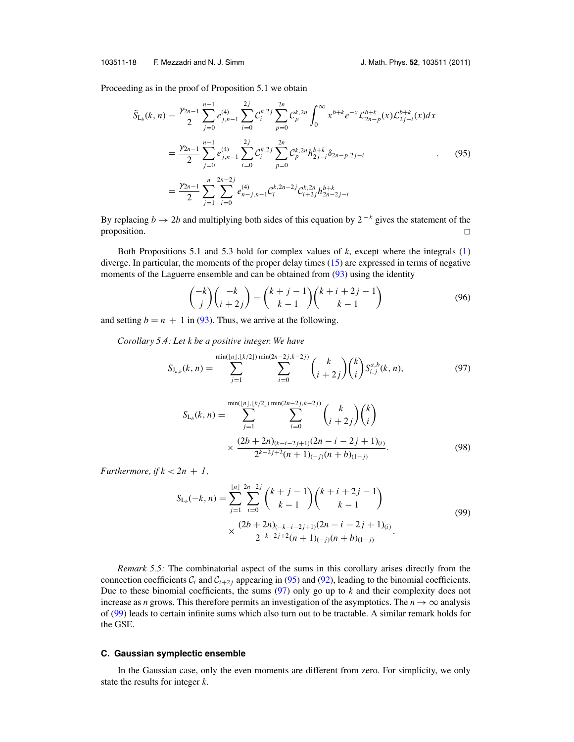<span id="page-19-0"></span>103511-18 F. Mezzadri and N. J. Simm J. Math. Phys. **52**, 103511 (2011)

Proceeding as in the proof of Proposition 5.1 we obtain

$$
\tilde{S}_{L_b}(k,n) = \frac{\gamma_{2n-1}}{2} \sum_{j=0}^{n-1} e_{j,n-1}^{(4)} \sum_{i=0}^{2j} C_i^{k,2j} \sum_{p=0}^{2n} C_p^{k,2n} \int_0^\infty x^{b+k} e^{-x} \mathcal{L}_{2n-p}^{b+k}(x) \mathcal{L}_{2j-i}^{b+k}(x) dx
$$
\n
$$
= \frac{\gamma_{2n-1}}{2} \sum_{j=0}^{n-1} e_{j,n-1}^{(4)} \sum_{i=0}^{2j} C_i^{k,2j} \sum_{p=0}^{2n} C_p^{k,2n} h_{2j-i}^{b+k} \delta_{2n-p,2j-i}
$$
\n
$$
= \frac{\gamma_{2n-1}}{2} \sum_{j=1}^n \sum_{i=0}^{2n-2j} e_{n-j,n-1}^{(4)} C_i^{k,2n-2j} C_{i+2j}^{k,2n} h_{2n-2j-i}^{b+k}
$$
\n(95)

By replacing *b*  $\rightarrow$  2*b* and multiplying both sides of this equation by 2<sup>-*k*</sup> gives the statement of the  $\Box$  proposition.  $\Box$ 

Both Propositions 5.1 and 5.3 hold for complex values of *k*, except where the integrals [\(1\)](#page-2-0) diverge. In particular, the moments of the proper delay times [\(15\)](#page-5-0) are expressed in terms of negative moments of the Laguerre ensemble and can be obtained from [\(93\)](#page-18-0) using the identity

$$
\binom{-k}{j}\binom{-k}{i+2j} = \binom{k+j-1}{k-1}\binom{k+i+2j-1}{k-1}
$$
\n(96)

and setting  $b = n + 1$  in [\(93\)](#page-18-0). Thus, we arrive at the following.

*Corollary 5.4: Let k be a positive integer. We have*

$$
S_{J_{a,b}}(k,n) = \sum_{j=1}^{\min(|n|,|k/2|)} \sum_{i=0}^{\min(2n-2j,k-2j)} {k \choose i+2j} {k \choose i} S_{i,j}^{a,b}(k,n), \tag{97}
$$

$$
S_{L_b}(k, n) = \sum_{j=1}^{\min(|n|, \lfloor k/2 \rfloor) \min(2n-2j,k-2j)} \sum_{i=0}^{\min(|n|, \lfloor k/2 \rfloor) \min(2n-2j,k-2j)} {k \choose i+2j} {k \choose i}
$$
  
 
$$
\times \frac{(2b+2n)_{(k-i-2j+1)}(2n-i-2j+1)_{(i)}}{2^{k-2j+2}(n+1)_{(-j)}(n+b)_{(1-j)}}.
$$
 (98)

*Furthermore, if*  $k < 2n + 1$ ,

$$
S_{L_b}(-k, n) = \sum_{j=1}^{\lfloor n \rfloor} \sum_{i=0}^{2n-2j} {k+j-1 \choose k-1} {k+i+2j-1 \choose k-1}
$$
  
 
$$
\times \frac{(2b+2n)_{(-k-i-2j+1)}(2n-i-2j+1)_{(i)}}{2^{-k-2j+2}(n+1)_{(-j)}(n+b)_{(1-j)}}.
$$
 (99)

*Remark 5.5:* The combinatorial aspect of the sums in this corollary arises directly from the connection coefficients  $C_i$  and  $C_{i+2j}$  appearing in (95) and [\(92\)](#page-18-0), leading to the binomial coefficients. Due to these binomial coefficients, the sums (97) only go up to *k* and their complexity does not increase as *n* grows. This therefore permits an investigation of the asymptotics. The  $n \to \infty$  analysis of (99) leads to certain infinite sums which also turn out to be tractable. A similar remark holds for the GSE.

#### **C. Gaussian symplectic ensemble**

In the Gaussian case, only the even moments are different from zero. For simplicity, we only state the results for integer *k*.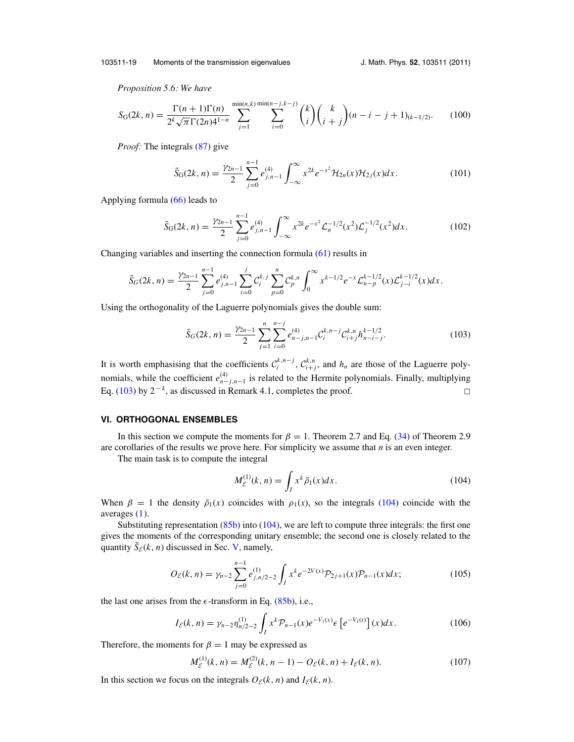<span id="page-20-0"></span>103511-19 Moments of the transmission eigenvalues J. Math. Phys. **52**, 103511 (2011)

*Proposition 5.6: We have*

$$
S_{\mathcal{G}}(2k,n) = \frac{\Gamma(n+1)\Gamma(n)}{2^k \sqrt{\pi} \Gamma(2n)^{4^{1-n}}} \sum_{j=1}^{\min(n,k)} \sum_{i=0}^{\min(n-j,k-j)} \binom{k}{i} \binom{k}{i+j} (n-i-j+1)_{(k-1/2)}.\tag{100}
$$

*Proof:* The integrals [\(87\)](#page-17-0) give

$$
\tilde{S}_{G}(2k,n) = \frac{\gamma_{2n-1}}{2} \sum_{j=0}^{n-1} e_{j,n-1}^{(4)} \int_{-\infty}^{\infty} x^{2k} e^{-x^2} \mathcal{H}_{2n}(x) \mathcal{H}_{2j}(x) dx.
$$
 (101)

Applying formula [\(66\)](#page-13-0) leads to

$$
\tilde{S}_{G}(2k,n) = \frac{\gamma_{2n-1}}{2} \sum_{j=0}^{n-1} e_{j,n-1}^{(4)} \int_{-\infty}^{\infty} x^{2k} e^{-x^2} \mathcal{L}_n^{-1/2}(x^2) \mathcal{L}_j^{-1/2}(x^2) dx.
$$
 (102)

Changing variables and inserting the connection formula [\(61\)](#page-13-0) results in

$$
\tilde{S}_G(2k,n) = \frac{\gamma_{2n-1}}{2} \sum_{j=0}^{n-1} e_{j,n-1}^{(4)} \sum_{i=0}^j C_i^{k,j} \sum_{p=0}^n C_p^{k,n} \int_0^\infty x^{k-1/2} e^{-x} \mathcal{L}_{n-p}^{k-1/2}(x) \mathcal{L}_{j-i}^{k-1/2}(x) dx.
$$

Using the orthogonality of the Laguerre polynomials gives the double sum:

$$
\tilde{S}_G(2k,n) = \frac{\gamma_{2n-1}}{2} \sum_{j=1}^n \sum_{i=0}^{n-j} e_{n-j,n-1}^{(4)} \mathcal{C}_i^{k,n-j} \mathcal{C}_{i+j}^{k,n} h_{n-i-j}^{k-1/2}.
$$
\n(103)

It is worth emphasising that the coefficients  $\mathcal{C}_i^{k,n-j}$ ,  $\mathcal{C}_{i+j}^{k,n}$ , and  $h_n$  are those of the Laguerre polynomials, while the coefficient  $e_{n-j,n-1}^{(4)}$  is related to the Hermite polynomials. Finally, multiplying Eq. (103) by  $2^{-k}$ , as discussed in Remark 4.1, completes the proof.  $\Box$  $\Box$ 

#### **VI. ORTHOGONAL ENSEMBLES**

In this section we compute the moments for  $\beta = 1$ . Theorem 2.7 and Eq. [\(34\)](#page-9-0) of Theorem 2.9 are corollaries of the results we prove here. For simplicity we assume that *n* is an even integer.

The main task is to compute the integral

$$
M_{\mathcal{E}}^{(1)}(k,n) = \int_{I} x^{k} \tilde{\rho}_1(x) dx.
$$
 (104)

When  $\beta = 1$  the density  $\tilde{\rho}_1(x)$  coincides with  $\rho_1(x)$ , so the integrals (104) coincide with the averages [\(1\)](#page-2-0).

Substituting representation [\(85b\)](#page-17-0) into (104), we are left to compute three integrals: the first one gives the moments of the corresponding unitary ensemble; the second one is closely related to the quantity  $\tilde{S}_{\mathcal{E}}(k, n)$  discussed in Sec. [V,](#page-17-0) namely,

$$
O_{\mathcal{E}}(k,n) = \gamma_{n-2} \sum_{j=0}^{n-1} e_{j,n/2-2}^{(1)} \int_{I} x^{k} e^{-2V(x)} \mathcal{P}_{2j+1}(x) \mathcal{P}_{n-1}(x) dx; \qquad (105)
$$

the last one arises from the  $\epsilon$ -transform in Eq. [\(85b\)](#page-17-0), i.e.,

$$
I_{\mathcal{E}}(k,n) = \gamma_{n-2} \eta_{n/2-2}^{(1)} \int_{I} x^{k} \mathcal{P}_{n-1}(x) e^{-V_1(x)} \epsilon \left[ e^{-V_1(t)} \right](x) dx.
$$
 (106)

Therefore, the moments for  $\beta = 1$  may be expressed as

$$
M_{\mathcal{E}}^{(1)}(k,n) = M_{\mathcal{E}}^{(2)}(k,n-1) - O_{\mathcal{E}}(k,n) + I_{\mathcal{E}}(k,n).
$$
 (107)

In this section we focus on the integrals  $O_{\mathcal{E}}(k, n)$  and  $I_{\mathcal{E}}(k, n)$ .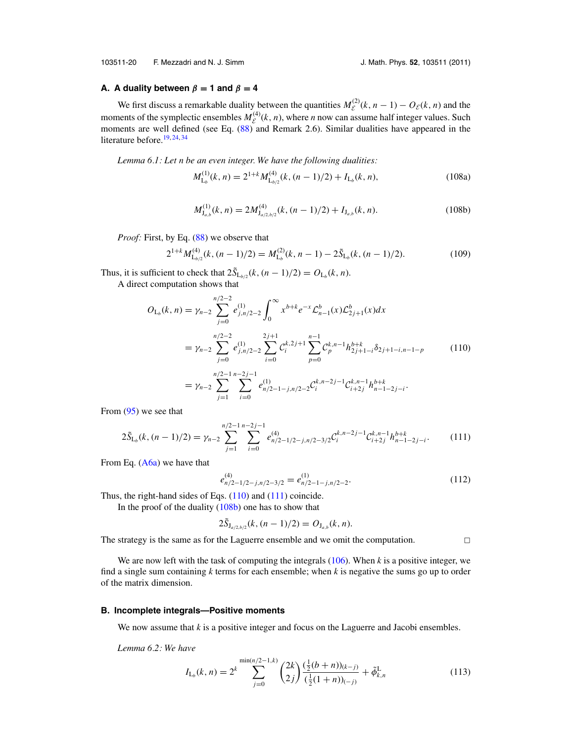<span id="page-21-0"></span>103511-20 F. Mezzadri and N. J. Simm J. Math. Phys. **52**, 103511 (2011)

#### **A.** A duality between  $\beta = 1$  and  $\beta = 4$

We first discuss a remarkable duality between the quantities  $M_{\mathcal{E}}^{(2)}(k, n-1) - O_{\mathcal{E}}(k, n)$  and the moments of the symplectic ensembles  $M_{\mathcal{E}}^{(4)}(k, n)$ , where *n* now can assume half integer values. Such moments are well defined (see Eq.  $(88)$  and Remark 2.6). Similar dualities have appeared in the literature before.<sup>[19,](#page-29-0) [24,](#page-29-0) [34](#page-30-0)</sup>

*Lemma 6.1: Let n be an even integer. We have the following dualities:*

$$
M_{L_b}^{(1)}(k, n) = 2^{1+k} M_{L_{b/2}}^{(4)}(k, (n-1)/2) + I_{L_b}(k, n),
$$
\n(108a)

$$
M_{J_{a,b}}^{(1)}(k,n) = 2M_{J_{a/2,b/2}}^{(4)}(k,(n-1)/2) + I_{J_{a,b}}(k,n).
$$
 (108b)

*Proof:* First, by Eq. [\(88\)](#page-17-0) we observe that

$$
2^{1+k} M_{\mathcal{L}_{b/2}}^{(4)}(k, (n-1)/2) = M_{\mathcal{L}_b}^{(2)}(k, n-1) - 2\tilde{S}_{\mathcal{L}_b}(k, (n-1)/2). \tag{109}
$$

Thus, it is sufficient to check that  $2\tilde{S}_{L_{b/2}}(k,(n-1)/2) = O_{L_b}(k,n)$ .

A direct computation shows that

$$
O_{L_b}(k, n) = \gamma_{n-2} \sum_{j=0}^{n/2-2} e_{j,n/2-2}^{(1)} \int_0^\infty x^{b+k} e^{-x} \mathcal{L}_{n-1}^b(x) \mathcal{L}_{2j+1}^b(x) dx
$$
  
\n
$$
= \gamma_{n-2} \sum_{j=0}^{n/2-2} e_{j,n/2-2}^{(1)} \sum_{i=0}^{2j+1} \mathcal{C}_i^{k,2j+1} \sum_{p=0}^{n-1} \mathcal{C}_p^{k,n-1} h_{2j+1-i}^{b+k} \delta_{2j+1-i,n-1-p}
$$
(110)  
\n
$$
= \gamma_{n-2} \sum_{j=1}^{n/2-1} \sum_{i=0}^{n-2j-1} e_{n/2-1-j,n/2-2}^{(1)} \mathcal{C}_i^{k,n-2j-1} \mathcal{C}_{i+2j}^{k,n-1} h_{n-1-2j-i}^{b+k}.
$$

From [\(95\)](#page-19-0) we see that

$$
2\tilde{S}_{L_b}(k,(n-1)/2) = \gamma_{n-2} \sum_{j=1}^{n/2-1} \sum_{i=0}^{n-2j-1} e_{n/2-1/2-j,n/2-3/2}^{(4)} \mathcal{C}_i^{k,n-2j-1} \mathcal{C}_{i+2j}^{k,n-1} h_{n-1-2j-i}^{b+k}.
$$
 (111)

From Eq. [\(A6a\)](#page-28-0) we have that

$$
e_{n/2-1/2-j,n/2-3/2}^{(4)} = e_{n/2-1-j,n/2-2}^{(1)}.
$$
\n(112)

Thus, the right-hand sides of Eqs. (110) and (111) coincide.

In the proof of the duality  $(108b)$  one has to show that

$$
2\tilde{S}_{J_{a/2,b/2}}(k,(n-1)/2)=O_{J_{a,b}}(k,n).
$$

The strategy is the same as for the Laguerre ensemble and we omit the computation.

 $\Box$ 

We are now left with the task of computing the integrals [\(106\)](#page-20-0). When *k* is a positive integer, we find a single sum containing *k* terms for each ensemble; when *k* is negative the sums go up to order of the matrix dimension.

#### **B. Incomplete integrals—Positive moments**

We now assume that *k* is a positive integer and focus on the Laguerre and Jacobi ensembles.

*Lemma 6.2: We have*

$$
I_{L_b}(k,n) = 2^k \sum_{j=0}^{\min(n/2-1,k)} {2k \choose 2j} \frac{\left(\frac{1}{2}(b+n)\right)_{(k-j)}}{\left(\frac{1}{2}(1+n)\right)_{(-j)}} + \tilde{\phi}_{k,n}^L
$$
\n(113)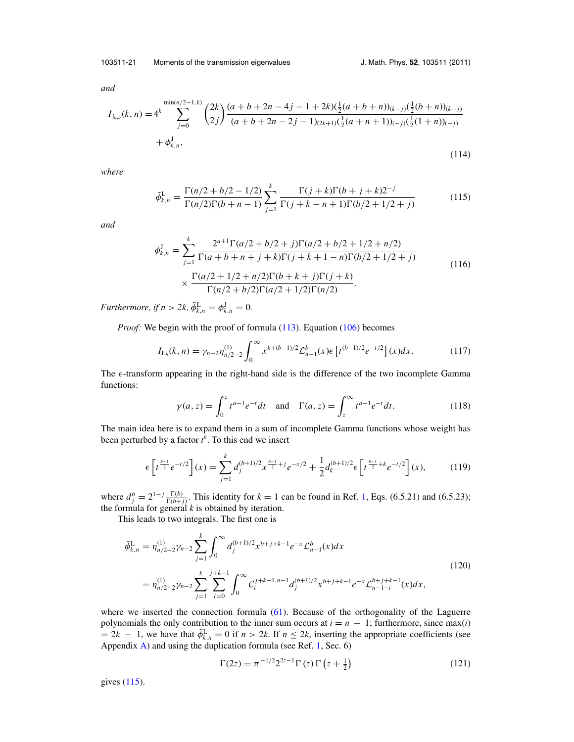<span id="page-22-0"></span>103511-21 Moments of the transmission eigenvalues J. Math. Phys. **52**, 103511 (2011)

*and*

$$
I_{J_{a,b}}(k,n) = 4^k \sum_{j=0}^{\min(n/2-1,k)} {2k \choose 2j} \frac{(a+b+2n-4j-1+2k)(\frac{1}{2}(a+b+n))_{(k-j)}(\frac{1}{2}(b+n))_{(k-j)}}{(a+b+2n-2j-1)_{(2k+1)}(\frac{1}{2}(a+n+1))_{(-j)}(\frac{1}{2}(1+n))_{(-j)}} + \phi_{k,n}^J,
$$
\n(114)

*where*

$$
\tilde{\phi}_{k,n}^{\text{L}} = \frac{\Gamma(n/2 + b/2 - 1/2)}{\Gamma(n/2)\Gamma(b + n - 1)} \sum_{j=1}^{k} \frac{\Gamma(j+k)\Gamma(b+j+k)2^{-j}}{\Gamma(j+k - n + 1)\Gamma(b/2 + 1/2 + j)}
$$
(115)

*and*

$$
\phi_{k,n}^J = \sum_{j=1}^k \frac{2^{a+1} \Gamma(a/2 + b/2 + j) \Gamma(a/2 + b/2 + 1/2 + n/2)}{\Gamma(a + b + n + j + k) \Gamma(j + k + 1 - n) \Gamma(b/2 + 1/2 + j)} \times \frac{\Gamma(a/2 + 1/2 + n/2) \Gamma(b + k + j) \Gamma(j + k)}{\Gamma(n/2 + b/2) \Gamma(a/2 + 1/2) \Gamma(n/2)}.
$$
\n(116)

*Furthermore, if*  $n > 2k$ ,  $\tilde{\phi}_{k,n}^{\text{L}} = \phi_{k,n}^{\text{J}} = 0$ .

*Proof:* We begin with the proof of formula [\(113\)](#page-21-0). Equation [\(106\)](#page-20-0) becomes

$$
I_{L_b}(k,n) = \gamma_{n-2} \eta_{n/2-2}^{(1)} \int_0^\infty x^{k+(b-1)/2} \mathcal{L}_{n-1}^b(x) \epsilon \left[ t^{(b-1)/2} e^{-t/2} \right](x) dx. \tag{117}
$$

The  $\epsilon$ -transform appearing in the right-hand side is the difference of the two incomplete Gamma functions:

$$
\gamma(a, z) = \int_0^z t^{a-1} e^{-t} dt \quad \text{and} \quad \Gamma(a, z) = \int_z^\infty t^{a-1} e^{-t} dt. \tag{118}
$$

The main idea here is to expand them in a sum of incomplete Gamma functions whose weight has been perturbed by a factor *t k* . To this end we insert

$$
\epsilon \left[ t^{\frac{b-1}{2}} e^{-t/2} \right] (x) = \sum_{j=1}^{k} d_j^{(b+1)/2} x^{\frac{b-1}{2} + j} e^{-x/2} + \frac{1}{2} d_k^{(b+1)/2} \epsilon \left[ t^{\frac{b-1}{2} + k} e^{-t/2} \right] (x), \tag{119}
$$

where  $d_j^b = 2^{1-j} \frac{\Gamma(b)}{\Gamma(b+j)}$ . This identity for  $k = 1$  can be found in Ref. [1,](#page-29-0) Eqs. (6.5.21) and (6.5.23); the formula for general *k* is obtained by iteration.

This leads to two integrals. The first one is

$$
\tilde{\phi}_{k,n}^{\mathcal{L}} = \eta_{n/2-2}^{(1)} \gamma_{n-2} \sum_{j=1}^{k} \int_{0}^{\infty} d_j^{(b+1)/2} x^{b+j+k-1} e^{-x} \mathcal{L}_{n-1}^b(x) dx
$$
\n
$$
= \eta_{n/2-2}^{(1)} \gamma_{n-2} \sum_{j=1}^{k} \sum_{i=0}^{j+k-1} \int_{0}^{\infty} \mathcal{C}_i^{j+k-1,n-1} d_j^{(b+1)/2} x^{b+j+k-1} e^{-x} \mathcal{L}_{n-1-i}^{b+j+k-1}(x) dx,
$$
\n(120)

where we inserted the connection formula [\(61\)](#page-13-0). Because of the orthogonality of the Laguerre polynomials the only contribution to the inner sum occurs at  $i = n - 1$ ; furthermore, since max(*i*)  $= 2k - 1$ , we have that  $\tilde{\phi}_{k,n}^L = 0$  if  $n > 2k$ . If  $n \leq 2k$ , inserting the appropriate coefficients (see Appendix  $\bf{A}$ ) and using the duplication formula (see Ref. [1,](#page-29-0) Sec. 6)

$$
\Gamma(2z) = \pi^{-1/2} 2^{2z-1} \Gamma(z) \Gamma(z + \frac{1}{2})
$$
\n(121)

gives (115).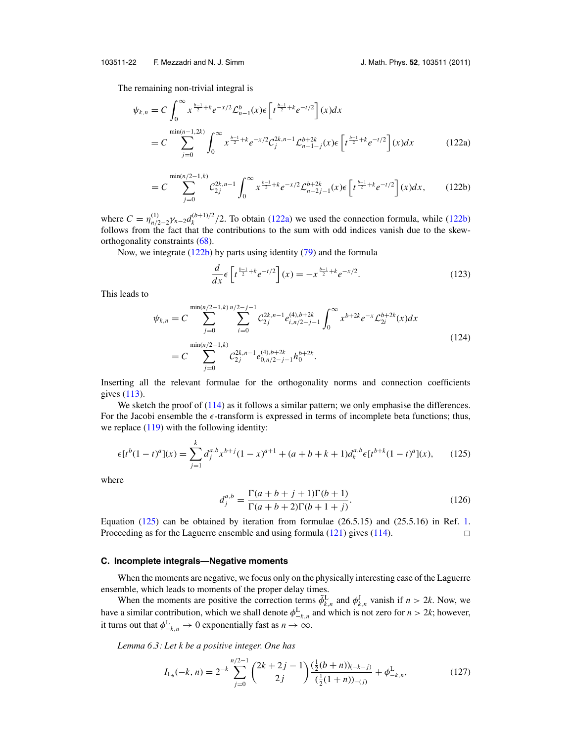<span id="page-23-0"></span>103511-22 F. Mezzadri and N. J. Simm J. Math. Phys. **52**, 103511 (2011)

The remaining non-trivial integral is

$$
\psi_{k,n} = C \int_0^\infty x^{\frac{b-1}{2} + k} e^{-x/2} \mathcal{L}_{n-1}^b(x) \epsilon \left[ t^{\frac{b-1}{2} + k} e^{-t/2} \right] (x) dx
$$
  
= 
$$
C \sum_{j=0}^{\min(n-1, 2k)} \int_0^\infty x^{\frac{b-1}{2} + k} e^{-x/2} \mathcal{C}_j^{2k, n-1} \mathcal{L}_{n-1-j}^{b+2k}(x) \epsilon \left[ t^{\frac{b-1}{2} + k} e^{-t/2} \right] (x) dx \qquad (122a)
$$

$$
=C\sum_{j=0}^{\min(n/2-1,k)} \mathcal{C}_{2j}^{2k,n-1} \int_0^\infty x^{\frac{b-1}{2}+k} e^{-x/2} \mathcal{L}_{n-2j-1}^{b+2k}(x) \epsilon \left[ t^{\frac{b-1}{2}+k} e^{-t/2} \right] (x) dx, \qquad (122b)
$$

where  $C = \eta_{n/2-2}^{(1)} \gamma_{n-2} d_k^{(b+1)/2} / 2$ . To obtain (122a) we used the connection formula, while (122b) follows from the fact that the contributions to the sum with odd indices vanish due to the skeworthogonality constraints [\(68\)](#page-14-0).

Now, we integrate (122b) by parts using identity [\(79\)](#page-16-0) and the formula

$$
\frac{d}{dx}\epsilon \left[ t^{\frac{b-1}{2}+k}e^{-t/2} \right](x) = -x^{\frac{b-1}{2}+k}e^{-x/2}.
$$
\n(123)

This leads to

$$
\psi_{k,n} = C \sum_{j=0}^{\min(n/2-1,k)} \sum_{i=0}^{n/2-j-1} C_{2j}^{2k,n-1} e_{i,n/2-j-1}^{(4),b+2k} \int_0^\infty x^{b+2k} e^{-x} \mathcal{L}_{2i}^{b+2k}(x) dx
$$
\n
$$
= C \sum_{j=0}^{\min(n/2-1,k)} \mathcal{C}_{2j}^{2k,n-1} e_{0,n/2-j-1}^{(4),b+2k} h_0^{b+2k}.
$$
\n(124)

Inserting all the relevant formulae for the orthogonality norms and connection coefficients gives [\(113\)](#page-21-0).

We sketch the proof of [\(114\)](#page-22-0) as it follows a similar pattern; we only emphasise the differences. For the Jacobi ensemble the  $\epsilon$ -transform is expressed in terms of incomplete beta functions; thus, we replace  $(119)$  with the following identity:

$$
\epsilon[t^{b}(1-t)^{a}](x) = \sum_{j=1}^{k} d_{j}^{a,b} x^{b+j} (1-x)^{a+1} + (a+b+k+1) d_{k}^{a,b} \epsilon[t^{b+k}(1-t)^{a}](x), \qquad (125)
$$

where

$$
d_j^{a,b} = \frac{\Gamma(a+b+j+1)\Gamma(b+1)}{\Gamma(a+b+2)\Gamma(b+1+j)}.
$$
\n(126)

Equation (125) can be obtained by iteration from formulae  $(26.5.15)$  and  $(25.5.16)$  in Ref. [1.](#page-29-0) Proceeding as for the Laguerre ensemble and using formula  $(121)$  gives  $(114)$ .  $\Box$ 

#### **C. Incomplete integrals—Negative moments**

When the moments are negative, we focus only on the physically interesting case of the Laguerre ensemble, which leads to moments of the proper delay times.

When the moments are positive the correction terms  $\tilde{\phi}_{k,n}^L$  and  $\phi_{k,n}^J$  vanish if  $n > 2k$ . Now, we have a similar contribution, which we shall denote  $\phi_{-k,n}^L$  and which is not zero for  $n > 2k$ ; however, it turns out that  $\phi_{-k,n}^{\mathbb{L}} \to 0$  exponentially fast as  $n \to \infty$ .

*Lemma 6.3: Let k be a positive integer. One has*

$$
I_{\mathcal{L}_b}(-k,n) = 2^{-k} \sum_{j=0}^{n/2-1} {2k+2j-1 \choose 2j} \frac{(\frac{1}{2}(b+n))_{(-k-j)}}{(\frac{1}{2}(1+n))_{-(j)}} + \phi^{\mathcal{L}}_{-k,n},
$$
\n(127)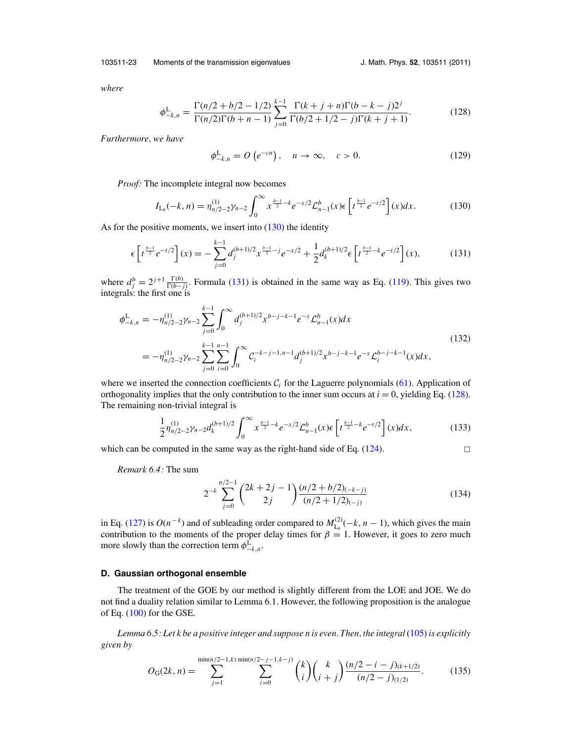<span id="page-24-0"></span>103511-23 Moments of the transmission eigenvalues J. Math. Phys. **52**, 103511 (2011)

*where*

$$
\phi_{-k,n}^{\mathcal{L}} = \frac{\Gamma(n/2 + b/2 - 1/2)}{\Gamma(n/2)\Gamma(b + n - 1)} \sum_{j=0}^{k-1} \frac{\Gamma(k + j + n)\Gamma(b - k - j)2^j}{\Gamma(b/2 + 1/2 - j)\Gamma(k + j + 1)}.
$$
(128)

*Furthermore, we have*

$$
\phi_{-k,n}^{\mathcal{L}} = O\left(e^{-cn}\right), \quad n \to \infty, \quad c > 0. \tag{129}
$$

*Proof:* The incomplete integral now becomes

$$
I_{L_b}(-k,n) = \eta_{n/2-2}^{(1)} \gamma_{n-2} \int_0^\infty x^{\frac{b-1}{2}-k} e^{-x/2} \mathcal{L}_{n-1}^b(x) \epsilon \left[ t^{\frac{b-1}{2}} e^{-t/2} \right] (x) dx.
$$
 (130)

As for the positive moments, we insert into  $(130)$  the identity

$$
\epsilon \left[ t^{\frac{b-1}{2}} e^{-t/2} \right] (x) = - \sum_{j=0}^{k-1} d_j^{(b+1)/2} x^{\frac{b-1}{2} - j} e^{-x/2} + \frac{1}{2} d_k^{(b+1)/2} \epsilon \left[ t^{\frac{b-1}{2} - k} e^{-t/2} \right] (x), \tag{131}
$$

where  $d_j^b = 2^{j+1} \frac{\Gamma(b)}{\Gamma(b-j)}$ . Formula (131) is obtained in the same way as Eq. [\(119\)](#page-22-0). This gives two integrals: the first one is

$$
\begin{split} \phi_{-k,n}^{\mathcal{L}} &= -\eta_{n/2-2}^{(1)} \gamma_{n-2} \sum_{j=0}^{k-1} \int_0^\infty d_j^{(b+1)/2} x^{b-j-k-1} e^{-x} \mathcal{L}_{n-1}^b(x) dx \\ &= -\eta_{n/2-2}^{(1)} \gamma_{n-2} \sum_{j=0}^{k-1} \sum_{i=0}^{n-1} \int_0^\infty \mathcal{C}_i^{-k-j-1,n-1} d_j^{(b+1)/2} x^{b-j-k-1} e^{-x} \mathcal{L}_i^{b-j-k-1}(x) dx, \end{split} \tag{132}
$$

where we inserted the connection coefficients  $C<sub>i</sub>$  for the Laguerre polynomials [\(61\)](#page-13-0). Application of orthogonality implies that the only contribution to the inner sum occurs at  $i = 0$ , yielding Eq. (128). The remaining non-trivial integral is

$$
\frac{1}{2}\eta_{n/2-2}^{(1)}\gamma_{n-2}d_k^{(b+1)/2}\int_0^\infty x^{\frac{b-1}{2}-k}e^{-x/2}\mathcal{L}_{n-1}^b(x)\epsilon\left[t^{\frac{b-1}{2}-k}e^{-t/2}\right](x)dx,\tag{133}
$$

which can be computed in the same way as the right-hand side of Eq.  $(124)$ .

$$
\square
$$

*Remark 6.4:* The sum

$$
2^{-k} \sum_{j=0}^{n/2-1} {2k+2j-1 \choose 2j} \frac{(n/2+b/2)_{(-k-j)}}{(n/2+1/2)_{(-j)}} \tag{134}
$$

in Eq. [\(127\)](#page-23-0) is  $O(n^{-k})$  and of subleading order compared to  $M_{L_b}^{(2)}(-k, n-1)$ , which gives the main contribution to the moments of the proper delay times for  $\beta = 1$ . However, it goes to zero much more slowly than the correction term  $\phi_{-k,n}^{\mathcal{L}}$ .

#### **D. Gaussian orthogonal ensemble**

The treatment of the GOE by our method is slightly different from the LOE and JOE. We do not find a duality relation similar to Lemma 6.1. However, the following proposition is the analogue of Eq. [\(100\)](#page-20-0) for the GSE.

*Lemma 6.5: Let k be a positive integer and suppose n is even. Then, the integral* [\(105\)](#page-20-0) *is explicitly given by*

$$
O_{\mathcal{G}}(2k,n) = \sum_{j=1}^{\min(n/2-1,k)\min(n/2-j-1,k-j)} \sum_{i=0}^{k} {k \choose i} {k \choose i+j} \frac{(n/2-i-j)_{(k+1/2)}}{(n/2-j)_{(1/2)}}.
$$
 (135)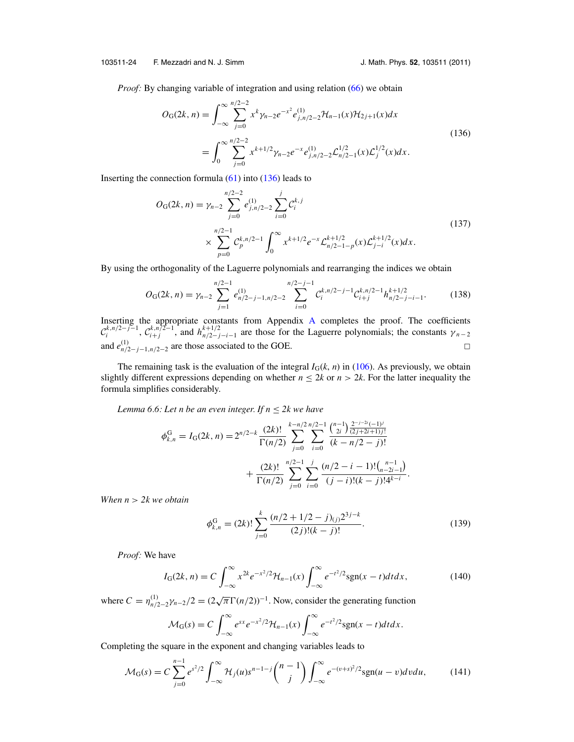#### <span id="page-25-0"></span>103511-24 F. Mezzadri and N. J. Simm J. Math. Phys. **52**, 103511 (2011)

*Proof:* By changing variable of integration and using relation [\(66\)](#page-13-0) we obtain

$$
O_G(2k, n) = \int_{-\infty}^{\infty} \sum_{j=0}^{n/2-2} x^k \gamma_{n-2} e^{-x^2} e_{j,n/2-2}^{(1)} \mathcal{H}_{n-1}(x) \mathcal{H}_{2j+1}(x) dx
$$
  
= 
$$
\int_{0}^{\infty} \sum_{j=0}^{n/2-2} x^{k+1/2} \gamma_{n-2} e^{-x} e_{j,n/2-2}^{(1)} \mathcal{L}_{n/2-1}^{1/2}(x) \mathcal{L}_{j}^{1/2}(x) dx.
$$
 (136)

Inserting the connection formula  $(61)$  into  $(136)$  leads to

$$
O_{G}(2k, n) = \gamma_{n-2} \sum_{j=0}^{n/2-2} e_{j,n/2-2}^{(1)} \sum_{i=0}^{j} C_i^{k,j}
$$
  
 
$$
\times \sum_{p=0}^{n/2-1} C_p^{k,n/2-1} \int_0^{\infty} x^{k+1/2} e^{-x} \mathcal{L}_{n/2-1-p}^{k+1/2}(x) \mathcal{L}_{j-i}^{k+1/2}(x) dx.
$$
 (137)

By using the orthogonality of the Laguerre polynomials and rearranging the indices we obtain

$$
O_{\mathcal{G}}(2k,n) = \gamma_{n-2} \sum_{j=1}^{n/2-1} e_{n/2-j-1,n/2-2}^{(1)} \sum_{i=0}^{n/2-j-1} C_i^{k,n/2-j-1} C_{i+j}^{k,n/2-1} h_{n/2-j-i-1}^{k+1/2}.
$$
 (138)

Inserting the appropriate constants from Appendix [A](#page-27-0) completes the proof. The coefficients  $\mathcal{C}_i^{k,n/2-j-1}$ ,  $\mathcal{C}_{i+j}^{k,n/2-1}$ , and  $h_{n/2-j-i-1}^{k+1/2}$  are those for the Laguerre polynomials; the constants  $\gamma_{n-2}$ and  $e_{n/2-j-1,n/2-2}^{(1)}$  are those associated to the GOE.  $□$ 

The remaining task is the evaluation of the integral  $I_G(k, n)$  in [\(106\)](#page-20-0). As previously, we obtain slightly different expressions depending on whether  $n \le 2k$  or  $n > 2k$ . For the latter inequality the formula simplifies considerably.

*Lemma 6.6: Let n be an even integer. If*  $n \leq 2k$  *we have* 

$$
\phi_{k,n}^G = I_G(2k, n) = 2^{n/2-k} \frac{(2k)!}{\Gamma(n/2)} \sum_{j=0}^{k-n/2} \sum_{i=0}^{n/2-1} \frac{\binom{n-1}{2i} \frac{2^{-j-2i}(-1)^j}{(2j+2i+1)j!}}{(k-n/2-j)!} + \frac{(2k)!}{\Gamma(n/2)} \sum_{j=0}^{n/2-1} \sum_{i=0}^{j} \frac{(n/2-i-1)!(\binom{n-1}{n-2i-1})}{(j-i)!(k-j)!4^{k-i}}.
$$

*When n* > *2k we obtain*

$$
\phi_{k,n}^G = (2k)! \sum_{j=0}^k \frac{(n/2 + 1/2 - j)_{(j)} 2^{3j - k}}{(2j)!(k - j)!}.
$$
\n(139)

*Proof:* We have

$$
I_{\mathcal{G}}(2k,n) = C \int_{-\infty}^{\infty} x^{2k} e^{-x^2/2} \mathcal{H}_{n-1}(x) \int_{-\infty}^{\infty} e^{-t^2/2} \text{sgn}(x-t) dt dx, \qquad (140)
$$

where  $C = \eta_{n/2-2}^{(1)} \gamma_{n-2}/2 = (2\sqrt{\pi} \Gamma(n/2))^{-1}$ . Now, consider the generating function

$$
\mathcal{M}_G(s) = C \int_{-\infty}^{\infty} e^{sx} e^{-x^2/2} \mathcal{H}_{n-1}(x) \int_{-\infty}^{\infty} e^{-t^2/2} sgn(x-t) dt dx.
$$

Completing the square in the exponent and changing variables leads to

$$
\mathcal{M}_{G}(s) = C \sum_{j=0}^{n-1} e^{s^2/2} \int_{-\infty}^{\infty} \mathcal{H}_j(u) s^{n-1-j} {n-1 \choose j} \int_{-\infty}^{\infty} e^{-(v+s)^2/2} sgn(u-v) dv du,
$$
 (141)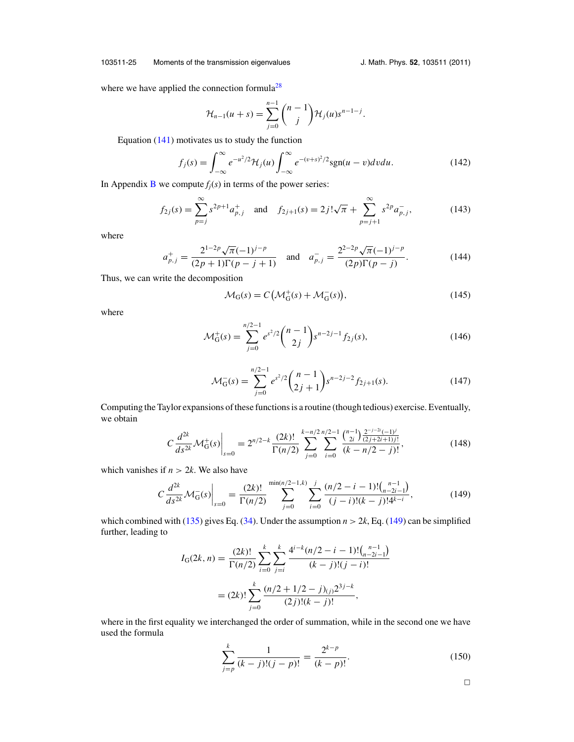#### 103511-25 Moments of the transmission eigenvalues J. Math. Phys. **52**, 103511 (2011)

where we have applied the connection formula<sup>28</sup>

$$
\mathcal{H}_{n-1}(u+s) = \sum_{j=0}^{n-1} {n-1 \choose j} \mathcal{H}_j(u) s^{n-1-j}.
$$

Equation [\(141\)](#page-25-0) motivates us to study the function

$$
f_j(s) = \int_{-\infty}^{\infty} e^{-u^2/2} \mathcal{H}_j(u) \int_{-\infty}^{\infty} e^{-(v+s)^2/2} \text{sgn}(u-v) dv du.
$$
 (142)

In Appendix **[B](#page-28-0)** we compute  $f_i(s)$  in terms of the power series:

$$
f_{2j}(s) = \sum_{p=j}^{\infty} s^{2p+1} a_{p,j}^{+} \text{ and } f_{2j+1}(s) = 2j! \sqrt{\pi} + \sum_{p=j+1}^{\infty} s^{2p} a_{p,j}^{-}, \qquad (143)
$$

where

$$
a_{p,j}^{+} = \frac{2^{1-2p}\sqrt{\pi}(-1)^{j-p}}{(2p+1)\Gamma(p-j+1)} \quad \text{and} \quad a_{p,j}^{-} = \frac{2^{2-2p}\sqrt{\pi}(-1)^{j-p}}{(2p)\Gamma(p-j)}.
$$
 (144)

Thus, we can write the decomposition

$$
\mathcal{M}_{G}(s) = C\left(\mathcal{M}_{G}^{+}(s) + \mathcal{M}_{G}^{-}(s)\right),\tag{145}
$$

where

$$
\mathcal{M}_G^+(s) = \sum_{j=0}^{n/2-1} e^{s^2/2} \binom{n-1}{2j} s^{n-2j-1} f_{2j}(s),\tag{146}
$$

$$
\mathcal{M}_G^-(s) = \sum_{j=0}^{n/2-1} e^{s^2/2} \binom{n-1}{2j+1} s^{n-2j-2} f_{2j+1}(s).
$$
 (147)

Computing the Taylor expansions of these functions is a routine (though tedious) exercise. Eventually, we obtain

$$
C\frac{d^{2k}}{ds^{2k}}\mathcal{M}_G^+(s)\Big|_{s=0} = 2^{n/2-k}\frac{(2k)!}{\Gamma(n/2)}\sum_{j=0}^{k-n/2}\sum_{i=0}^{n/2-1}\frac{\binom{n-1}{2i}\frac{2^{-j-2i}(-1)^j}{(2j+2i+1)j!}}{(k-n/2-j)!},\tag{148}
$$

which vanishes if  $n > 2k$ . We also have

$$
C\frac{d^{2k}}{ds^{2k}}\mathcal{M}_{G}(s)\Big|_{s=0} = \frac{(2k)!}{\Gamma(n/2)} \sum_{j=0}^{\min(n/2-1,k)} \sum_{i=0}^{j} \frac{(n/2-i-1)!\binom{n-1}{n-2i-1}}{(j-i)!(k-j)!4^{k-i}},\tag{149}
$$

which combined with [\(135\)](#page-24-0) gives Eq. [\(34\)](#page-9-0). Under the assumption  $n > 2k$ , Eq. (149) can be simplified further, leading to

$$
I_{\mathcal{G}}(2k,n) = \frac{(2k)!}{\Gamma(n/2)} \sum_{i=0}^{k} \sum_{j=i}^{k} \frac{4^{i-k}(n/2-i-1)!(\binom{n-1}{n-2i-1})}{(k-j)!(j-i)!}
$$
  
=  $(2k)!\sum_{j=0}^{k} \frac{(n/2+1/2-j)_{(j)}2^{3j-k}}{(2j)!(k-j)!}$ ,

where in the first equality we interchanged the order of summation, while in the second one we have used the formula

$$
\sum_{j=p}^{k} \frac{1}{(k-j)!(j-p)!} = \frac{2^{k-p}}{(k-p)!}.
$$
\n(150)

 $\Box$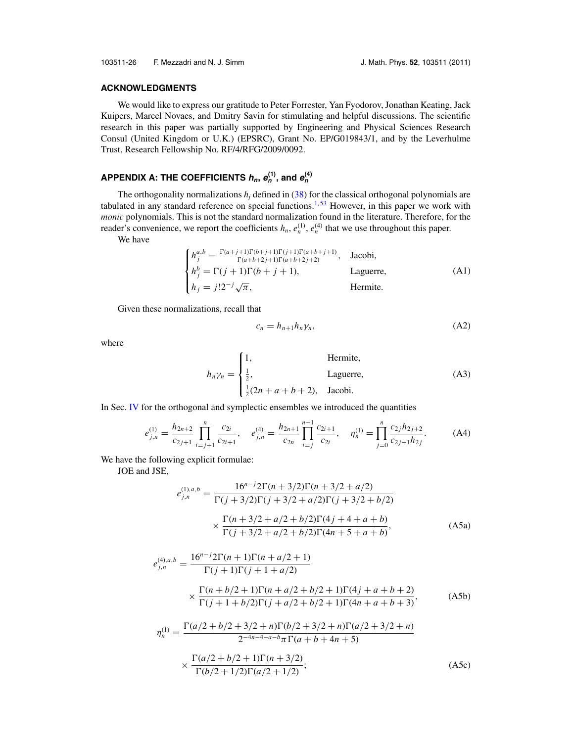#### <span id="page-27-0"></span>**ACKNOWLEDGMENTS**

We would like to express our gratitude to Peter Forrester, Yan Fyodorov, Jonathan Keating, Jack Kuipers, Marcel Novaes, and Dmitry Savin for stimulating and helpful discussions. The scientific research in this paper was partially supported by Engineering and Physical Sciences Research Consul (United Kingdom or U.K.) (EPSRC), Grant No. EP/G019843/1, and by the Leverhulme Trust, Research Fellowship No. RF/4/RFG/2009/0092.

### <code>APPENDIX A: THE COEFFICIENTS  $h_n$ ,  $e_n^{(1)}$ , and  $e_n^{(4)}$ </code>

The orthogonality normalizations  $h_i$  defined in  $(38)$  for the classical orthogonal polynomials are tabulated in any standard reference on special functions.<sup>[1,](#page-29-0)[53](#page-30-0)</sup> However, in this paper we work with *monic* polynomials. This is not the standard normalization found in the literature. Therefore, for the reader's convenience, we report the coefficients  $h_n$ ,  $e_n^{(1)}$ ,  $e_n^{(4)}$  that we use throughout this paper.

We have

$$
\begin{cases}\nh_j^{a,b} = \frac{\Gamma(a+j+1)\Gamma(b+j+1)\Gamma(j+1)\Gamma(a+b+j+1)}{\Gamma(a+b+2j+1)\Gamma(a+b+2j+2)}, & \text{Jacobi}, \\
h_j^b = \Gamma(j+1)\Gamma(b+j+1), & \text{Laguerre}, \\
h_j = j!2^{-j}\sqrt{\pi}, & \text{Hermite}.\n\end{cases} (A1)
$$

Given these normalizations, recall that

$$
c_n = h_{n+1}h_n \gamma_n,\tag{A2}
$$

where

$$
h_n \gamma_n = \begin{cases} 1, & \text{Hermite,} \\ \frac{1}{2}, & \text{Laguerre,} \\ \frac{1}{2}(2n + a + b + 2), & \text{Jacobi.} \end{cases}
$$
 (A3)

In Sec. [IV](#page-14-0) for the orthogonal and symplectic ensembles we introduced the quantities

$$
e_{j,n}^{(1)} = \frac{h_{2n+2}}{c_{2j+1}} \prod_{i=j+1}^{n} \frac{c_{2i}}{c_{2i+1}}, \quad e_{j,n}^{(4)} = \frac{h_{2n+1}}{c_{2n}} \prod_{i=j}^{n-1} \frac{c_{2i+1}}{c_{2i}}, \quad \eta_n^{(1)} = \prod_{j=0}^{n} \frac{c_{2j} h_{2j+2}}{c_{2j+1} h_{2j}}.
$$
 (A4)

We have the following explicit formulae:

JOE and JSE,

$$
e_{j,n}^{(1),a,b} = \frac{16^{n-j}2\Gamma(n+3/2)\Gamma(n+3/2+a/2)}{\Gamma(j+3/2)\Gamma(j+3/2+a/2)\Gamma(j+3/2+b/2)}
$$

$$
\times \frac{\Gamma(n+3/2+a/2+b/2)\Gamma(4j+4+a+b)}{\Gamma(j+3/2+a/2+b/2)\Gamma(4n+5+a+b)},
$$
(A5a)

$$
e_{j,n}^{(4),a,b} = \frac{16^{n-j}2\Gamma(n+1)\Gamma(n+a/2+1)}{\Gamma(j+1)\Gamma(j+1+a/2)}
$$
  
 
$$
\times \frac{\Gamma(n+b/2+1)\Gamma(n+a/2+b/2+1)\Gamma(4j+a+b+2)}{\Gamma(j+1+b/2)\Gamma(j+a/2+b/2+1)\Gamma(4n+a+b+3)},
$$
 (A5b)

$$
\eta_n^{(1)} = \frac{\Gamma(a/2 + b/2 + 3/2 + n)\Gamma(b/2 + 3/2 + n)\Gamma(a/2 + 3/2 + n)}{2^{-4n - 4 - a - b}\pi\Gamma(a + b + 4n + 5)}
$$
  
 
$$
\times \frac{\Gamma(a/2 + b/2 + 1)\Gamma(n + 3/2)}{\Gamma(b/2 + 1/2)\Gamma(a/2 + 1/2)};
$$
 (A5c)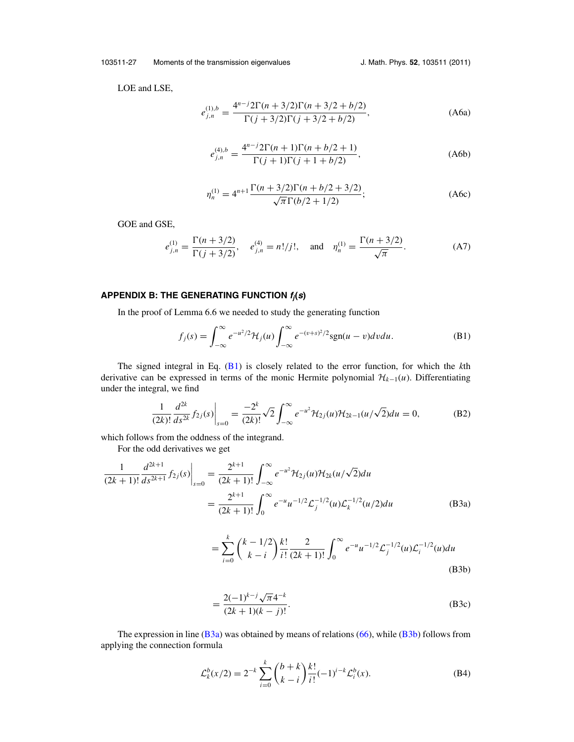<span id="page-28-0"></span>103511-27 Moments of the transmission eigenvalues J. Math. Phys. **52**, 103511 (2011)

LOE and LSE,

$$
e_{j,n}^{(1),b} = \frac{4^{n-j}2\Gamma(n+3/2)\Gamma(n+3/2+b/2)}{\Gamma(j+3/2)\Gamma(j+3/2+b/2)},
$$
\n(A6a)

$$
e_{j,n}^{(4),b} = \frac{4^{n-j}2\Gamma(n+1)\Gamma(n+b/2+1)}{\Gamma(j+1)\Gamma(j+1+b/2)},
$$
\n(A6b)

$$
\eta_n^{(1)} = 4^{n+1} \frac{\Gamma(n+3/2)\Gamma(n+b/2+3/2)}{\sqrt{\pi} \Gamma(b/2+1/2)};
$$
 (A6c)

GOE and GSE,

$$
e_{j,n}^{(1)} = \frac{\Gamma(n+3/2)}{\Gamma(j+3/2)}, \quad e_{j,n}^{(4)} = n!/j!, \quad \text{and} \quad \eta_n^{(1)} = \frac{\Gamma(n+3/2)}{\sqrt{\pi}}.
$$
 (A7)

#### **APPENDIX B: THE GENERATING FUNCTION <sup>f</sup>j(s)**

In the proof of Lemma 6.6 we needed to study the generating function

$$
f_j(s) = \int_{-\infty}^{\infty} e^{-u^2/2} \mathcal{H}_j(u) \int_{-\infty}^{\infty} e^{-(v+s)^2/2} sgn(u-v) dv du.
$$
 (B1)

The signed integral in Eq. (B1) is closely related to the error function, for which the *k*th derivative can be expressed in terms of the monic Hermite polynomial  $\mathcal{H}_{k-1}(u)$ . Differentiating under the integral, we find

$$
\frac{1}{(2k)!} \frac{d^{2k}}{ds^{2k}} f_{2j}(s) \Big|_{s=0} = \frac{-2^k}{(2k)!} \sqrt{2} \int_{-\infty}^{\infty} e^{-u^2} \mathcal{H}_{2j}(u) \mathcal{H}_{2k-1}(u/\sqrt{2}) du = 0,
$$
 (B2)

which follows from the oddness of the integrand.

For the odd derivatives we get

$$
\frac{1}{(2k+1)!} \frac{d^{2k+1}}{ds^{2k+1}} f_{2j}(s) \Big|_{s=0} = \frac{2^{k+1}}{(2k+1)!} \int_{-\infty}^{\infty} e^{-u^2} \mathcal{H}_{2j}(u) \mathcal{H}_{2k}(u/\sqrt{2}) du
$$

$$
= \frac{2^{k+1}}{(2k+1)!} \int_{0}^{\infty} e^{-u} u^{-1/2} \mathcal{L}_{j}^{-1/2}(u) \mathcal{L}_{k}^{-1/2}(u/2) du
$$
(B3a)

$$
= \sum_{i=0}^{k} {k-1/2 \choose k-i} \frac{k!}{i!} \frac{2}{(2k+1)!} \int_{0}^{\infty} e^{-u} u^{-1/2} \mathcal{L}_j^{-1/2}(u) \mathcal{L}_i^{-1/2}(u) du
$$
\n(B3b)

$$
=\frac{2(-1)^{k-j}\sqrt{\pi}4^{-k}}{(2k+1)(k-j)!}.
$$
 (B3c)

The expression in line (B3a) was obtained by means of relations [\(66\)](#page-13-0), while (B3b) follows from applying the connection formula

$$
\mathcal{L}_k^b(x/2) = 2^{-k} \sum_{i=0}^k {b+k \choose k-i} \frac{k!}{i!} (-1)^{i-k} \mathcal{L}_i^b(x).
$$
 (B4)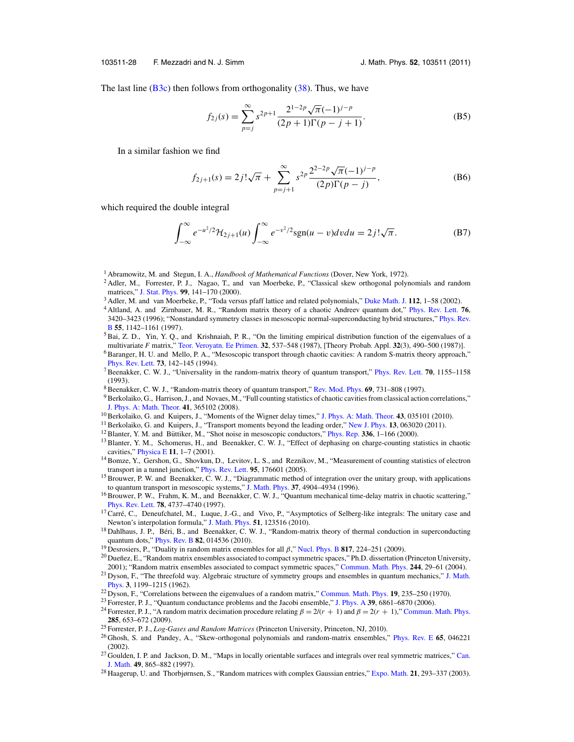#### <span id="page-29-0"></span>103511-28 F. Mezzadri and N. J. Simm J. Math. Phys. **52**, 103511 (2011)

The last line  $(B3c)$  then follows from orthogonality  $(38)$ . Thus, we have

$$
f_{2j}(s) = \sum_{p=j}^{\infty} s^{2p+1} \frac{2^{1-2p} \sqrt{\pi} (-1)^{j-p}}{(2p+1)\Gamma(p-j+1)}.
$$
 (B5)

In a similar fashion we find

$$
f_{2j+1}(s) = 2j!\sqrt{\pi} + \sum_{p=j+1}^{\infty} s^{2p} \frac{2^{2-2p}\sqrt{\pi}(-1)^{j-p}}{(2p)\Gamma(p-j)},
$$
 (B6)

which required the double integral

$$
\int_{-\infty}^{\infty} e^{-u^2/2} \mathcal{H}_{2j+1}(u) \int_{-\infty}^{\infty} e^{-v^2/2} \text{sgn}(u-v) dv du = 2j! \sqrt{\pi}.
$$
 (B7)

- <sup>1</sup> Abramowitz, M. and Stegun, I. A., *Handbook of Mathematical Functions* (Dover, New York, 1972).
- <sup>2</sup> Adler, M., Forrester, P. J., Nagao, T., and van Moerbeke, P., "Classical skew orthogonal polynomials and random matrices," [J. Stat. Phys.](http://dx.doi.org/10.1023/A:1018644606835) **99**, 141–170 (2000).
- <sup>3</sup> Adler, M. and van Moerbeke, P., "Toda versus pfaff lattice and related polynomials," [Duke Math. J.](http://dx.doi.org/10.1215/S0012-9074-02-11211-3) **112**, 1–58 (2002).
- <sup>4</sup> Altland, A. and Zirnbauer, M. R., "Random matrix theory of a chaotic Andreev quantum dot," [Phys. Rev. Lett.](http://dx.doi.org/10.1103/PhysRevLett.76.3420) **76**, 3420–3423 (1996); "Nonstandard symmetry classes in mesoscopic normal-superconducting hybrid structures," [Phys. Rev.](http://dx.doi.org/10.1103/PhysRevB.55.1142) [B](http://dx.doi.org/10.1103/PhysRevB.55.1142) **55**, 1142–1161 (1997).
- $<sup>5</sup>$ Bai, Z. D., Yin, Y. Q., and Krishnaiah, P. R., "On the limiting empirical distribution function of the eigenvalues of a</sup> multivariate *F* matrix," [Teor. Veroyatn. Ee Primen.](http://dx.doi.org/10.1137/1132067) **32**, 537–548 (1987), [Theory Probab. Appl. **32**(3), 490–500 (1987)].
- <sup>6</sup> Baranger, H. U. and Mello, P. A., "Mesoscopic transport through chaotic cavities: A random S-matrix theory approach," [Phys. Rev. Lett.](http://dx.doi.org/10.1103/PhysRevLett.73.142) **73**, 142–145 (1994).
- 7Beenakker, C. W. J., "Universality in the random-matrix theory of quantum transport," [Phys. Rev. Lett.](http://dx.doi.org/10.1103/PhysRevLett.70.1155) **70**, 1155–1158 (1993).
- 8Beenakker, C. W. J., "Random-matrix theory of quantum transport," [Rev. Mod. Phys.](http://dx.doi.org/10.1103/RevModPhys.69.731) **69**, 731–808 (1997).
- 9 Berkolaiko, G., Harrison, J., and Novaes, M., "Full counting statistics of chaotic cavities from classical action correlations," [J. Phys. A: Math. Theor.](http://dx.doi.org/10.1088/1751-8113/41/36/365102) **41**, 365102 (2008).
- <sup>10</sup> Berkolaiko, G. and Kuipers, J., "Moments of the Wigner delay times," [J. Phys. A: Math. Theor.](http://dx.doi.org/10.1088/1751-8113/43/3/035101) **43**, 035101 (2010).
- 11Berkolaiko, G. and Kuipers, J., "Transport moments beyond the leading order," [New J. Phys.](http://dx.doi.org/10.1088/1367-2630/13/6/063020) **13**, 063020 (2011).
- <sup>12</sup> Blanter, Y. M. and Büttiker, M., "Shot noise in mesoscopic conductors," [Phys. Rep.](http://dx.doi.org/10.1016/S0370-1573(99)00123-4)  $336$ , 1–166 (2000).
- <sup>13</sup> Blanter, Y. M., Schomerus, H., and Beenakker, C. W. J., "Effect of dephasing on charge-counting statistics in chaotic cavities," [Physica E](http://dx.doi.org/10.1016/S1386-9477(01)00160-6) **11**, 1–7 (2001).
- <sup>14</sup> Bomze, Y., Gershon, G., Shovkun, D., Levitov, L. S., and Reznikov, M., "Measurement of counting statistics of electron transport in a tunnel junction," [Phys. Rev. Lett.](http://dx.doi.org/10.1103/PhysRevLett.95.176601) **95**, 176601 (2005).
- <sup>15</sup> Brouwer, P. W. and Beenakker, C. W. J., "Diagrammatic method of integration over the unitary group, with applications to quantum transport in mesoscopic systems," [J. Math. Phys.](http://dx.doi.org/10.1063/1.531667) **37**, 4904–4934 (1996).
- <sup>16</sup> Brouwer, P. W., Frahm, K. M., and Beenakker, C. W. J., "Quantum mechanical time-delay matrix in chaotic scattering," [Phys. Rev. Lett.](http://dx.doi.org/10.1103/PhysRevLett.78.4737) **78**, 4737–4740 (1997).
- $17$ Carré, C., Deneufchatel, M., Luque, J.-G., and Vivo, P., "Asymptotics of Selberg-like integrals: The unitary case and Newton's interpolation formula," [J. Math. Phys.](http://dx.doi.org/10.1063/1.3514535) **51**, 123516 (2010).
- <sup>18</sup> Dahlhaus, J. P., Béri, B., and Beenakker, C. W. J., "Random-matrix theory of thermal conduction in superconducting quantum dots," [Phys. Rev. B](http://dx.doi.org/10.1103/PhysRevB.82.014536) **82**, 014536 (2010).
- <sup>19</sup> Desrosiers, P., "Duality in random matrix ensembles for all β," [Nucl. Phys. B](http://dx.doi.org/10.1016/j.nuclphysb.2009.02.019) **817**, 224–251 (2009).
- $^{20}$  Dueñez, E., "Random matrix ensembles associated to compact symmetric spaces," Ph.D. dissertation (Princeton University, 2001); "Random matrix ensembles associated to compact symmetric spaces," [Commun. Math. Phys.](http://dx.doi.org/10.1007/s00220-003-0994-2) **244**, 29–61 (2004).
- <sup>21</sup> Dyson, F., "The threefold way. Algebraic structure of symmetry groups and ensembles in quantum mechanics," [J. Math.](http://dx.doi.org/10.1063/1.1703863) [Phys.](http://dx.doi.org/10.1063/1.1703863) **3**, 1199–1215 (1962).
- <sup>22</sup> Dyson, F., "Correlations between the eigenvalues of a random matrix," [Commun. Math. Phys.](http://dx.doi.org/10.1007/BF01646824) **19**, 235–250 (1970).
- <sup>23</sup> Forrester, P. J., "Quantum conductance problems and the Jacobi ensemble," [J. Phys. A](http://dx.doi.org/10.1088/0305-4470/39/22/004) **39**, 6861–6870 (2006).
- <sup>24</sup> Forrester, P. J., "A random matrix decimation procedure relating  $\beta = 2/(r + 1)$  and  $\beta = 2(r + 1)$ ," [Commun. Math. Phys.](http://dx.doi.org/10.1007/s00220-008-0616-0) **285**, 653–672 (2009).
- <sup>25</sup> Forrester, P. J., *Log-Gases and Random Matrices* (Princeton University, Princeton, NJ, 2010).
- <sup>26</sup> Ghosh, S. and Pandey, A., "Skew-orthogonal polynomials and random-matrix ensembles," [Phys. Rev. E](http://dx.doi.org/10.1103/PhysRevE.65.046221) **65**, 046221 (2002).
- $^{27}$  Goulden, I. P. and Jackson, D. M., "Maps in locally orientable surfaces and integrals over real symmetric matrices," [Can.](http://dx.doi.org/10.4153/CJM-1997-045-9) [J. Math.](http://dx.doi.org/10.4153/CJM-1997-045-9) **49**, 865–882 (1997).
- <sup>28</sup> Haagerup, U. and Thorbjørnsen, S., "Random matrices with complex Gaussian entries," [Expo. Math.](http://dx.doi.org/10.1016/S0723-0869(03)80036-1) **21**, 293–337 (2003).